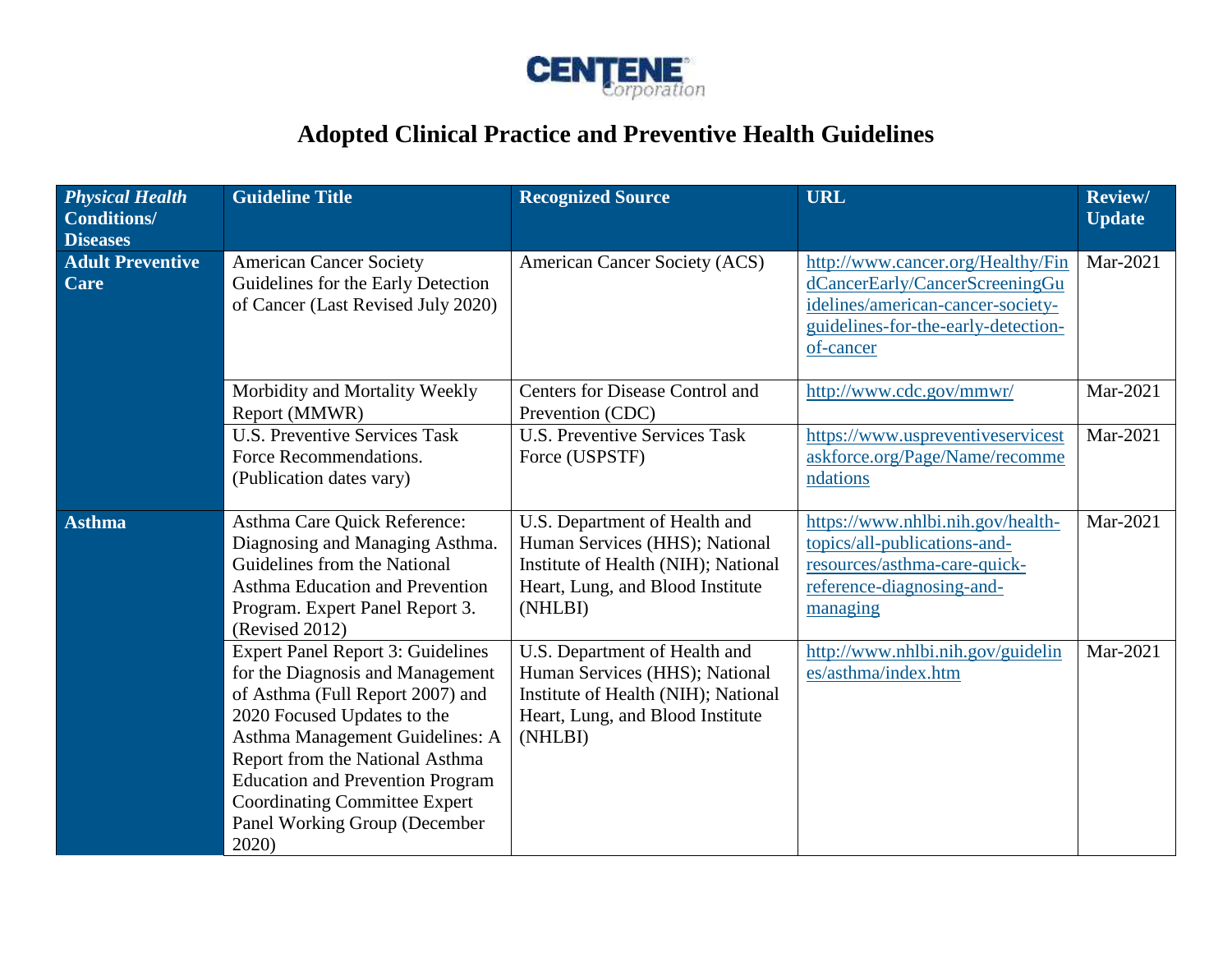

## **Adopted Clinical Practice and Preventive Health Guidelines**

| <b>Physical Health</b><br><b>Conditions/</b><br><b>Diseases</b> | <b>Guideline Title</b>                                                                                                                                                                                                                                                                                                                             | <b>Recognized Source</b>                                                                                                                              | <b>URL</b>                                                                                                                                                   | <b>Review/</b><br><b>Update</b> |
|-----------------------------------------------------------------|----------------------------------------------------------------------------------------------------------------------------------------------------------------------------------------------------------------------------------------------------------------------------------------------------------------------------------------------------|-------------------------------------------------------------------------------------------------------------------------------------------------------|--------------------------------------------------------------------------------------------------------------------------------------------------------------|---------------------------------|
| <b>Adult Preventive</b><br>Care                                 | <b>American Cancer Society</b><br>Guidelines for the Early Detection<br>of Cancer (Last Revised July 2020)                                                                                                                                                                                                                                         | American Cancer Society (ACS)                                                                                                                         | http://www.cancer.org/Healthy/Fin<br>dCancerEarly/CancerScreeningGu<br>idelines/american-cancer-society-<br>guidelines-for-the-early-detection-<br>of-cancer | Mar-2021                        |
|                                                                 | Morbidity and Mortality Weekly<br>Report (MMWR)                                                                                                                                                                                                                                                                                                    | Centers for Disease Control and<br>Prevention (CDC)                                                                                                   | http://www.cdc.gov/mmwr/                                                                                                                                     | Mar-2021                        |
|                                                                 | <b>U.S. Preventive Services Task</b><br>Force Recommendations.<br>(Publication dates vary)                                                                                                                                                                                                                                                         | <b>U.S. Preventive Services Task</b><br>Force (USPSTF)                                                                                                | https://www.uspreventiveservicest<br>askforce.org/Page/Name/recomme<br>ndations                                                                              | Mar-2021                        |
| <b>Asthma</b>                                                   | Asthma Care Quick Reference:<br>Diagnosing and Managing Asthma.<br>Guidelines from the National<br>Asthma Education and Prevention<br>Program. Expert Panel Report 3.<br>(Revised 2012)                                                                                                                                                            | U.S. Department of Health and<br>Human Services (HHS); National<br>Institute of Health (NIH); National<br>Heart, Lung, and Blood Institute<br>(NHLBI) | https://www.nhlbi.nih.gov/health-<br>topics/all-publications-and-<br>resources/asthma-care-quick-<br>reference-diagnosing-and-<br>managing                   | Mar-2021                        |
|                                                                 | <b>Expert Panel Report 3: Guidelines</b><br>for the Diagnosis and Management<br>of Asthma (Full Report 2007) and<br>2020 Focused Updates to the<br>Asthma Management Guidelines: A<br>Report from the National Asthma<br><b>Education and Prevention Program</b><br><b>Coordinating Committee Expert</b><br>Panel Working Group (December<br>2020) | U.S. Department of Health and<br>Human Services (HHS); National<br>Institute of Health (NIH); National<br>Heart, Lung, and Blood Institute<br>(NHLBI) | http://www.nhlbi.nih.gov/guidelin<br>es/asthma/index.htm                                                                                                     | Mar-2021                        |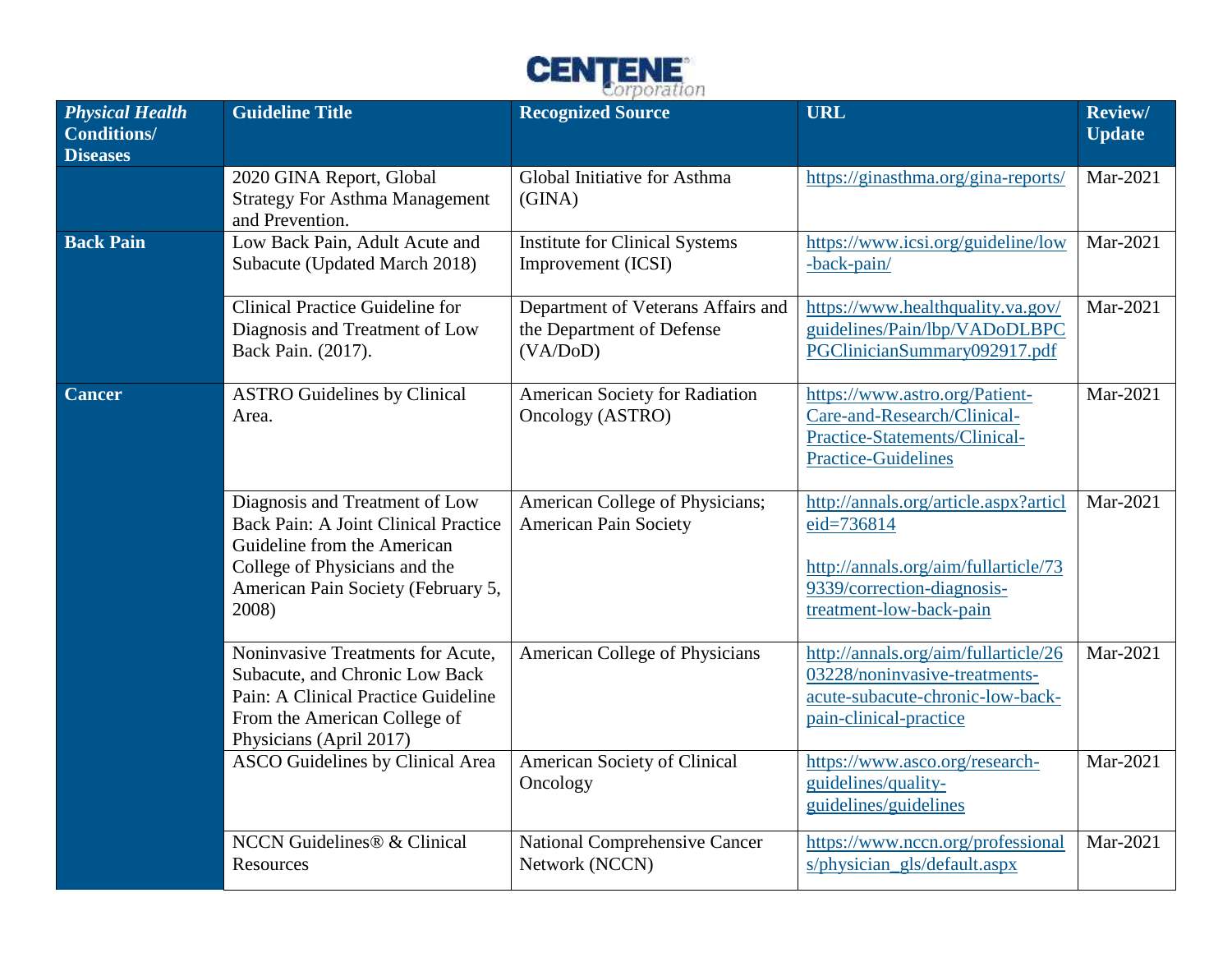

| <b>Physical Health</b><br><b>Conditions/</b><br><b>Diseases</b> | <b>Guideline Title</b>                                                                                                                                                                | <b>Recognized Source</b>                                                    | <b>URL</b>                                                                                                                                           | Review/<br><b>Update</b> |
|-----------------------------------------------------------------|---------------------------------------------------------------------------------------------------------------------------------------------------------------------------------------|-----------------------------------------------------------------------------|------------------------------------------------------------------------------------------------------------------------------------------------------|--------------------------|
|                                                                 | 2020 GINA Report, Global<br><b>Strategy For Asthma Management</b><br>and Prevention.                                                                                                  | Global Initiative for Asthma<br>(GINA)                                      | https://ginasthma.org/gina-reports/                                                                                                                  | Mar-2021                 |
| <b>Back Pain</b>                                                | Low Back Pain, Adult Acute and<br>Subacute (Updated March 2018)                                                                                                                       | <b>Institute for Clinical Systems</b><br>Improvement (ICSI)                 | https://www.icsi.org/guideline/low<br>-back-pain/                                                                                                    | Mar-2021                 |
|                                                                 | <b>Clinical Practice Guideline for</b><br>Diagnosis and Treatment of Low<br>Back Pain. (2017).                                                                                        | Department of Veterans Affairs and<br>the Department of Defense<br>(VA/DoD) | https://www.healthquality.va.gov/<br>guidelines/Pain/lbp/VADoDLBPC<br>PGClinicianSummary092917.pdf                                                   | Mar-2021                 |
| <b>Cancer</b>                                                   | <b>ASTRO Guidelines by Clinical</b><br>Area.                                                                                                                                          | <b>American Society for Radiation</b><br>Oncology (ASTRO)                   | https://www.astro.org/Patient-<br>Care-and-Research/Clinical-<br>Practice-Statements/Clinical-<br><b>Practice-Guidelines</b>                         | Mar-2021                 |
|                                                                 | Diagnosis and Treatment of Low<br>Back Pain: A Joint Clinical Practice<br>Guideline from the American<br>College of Physicians and the<br>American Pain Society (February 5,<br>2008) | American College of Physicians;<br><b>American Pain Society</b>             | http://annals.org/article.aspx?articl<br>eid=736814<br>http://annals.org/aim/fullarticle/73<br>9339/correction-diagnosis-<br>treatment-low-back-pain | Mar-2021                 |
|                                                                 | Noninvasive Treatments for Acute,<br>Subacute, and Chronic Low Back<br>Pain: A Clinical Practice Guideline<br>From the American College of<br>Physicians (April 2017)                 | <b>American College of Physicians</b>                                       | http://annals.org/aim/fullarticle/26<br>03228/noninvasive-treatments-<br>acute-subacute-chronic-low-back-<br>pain-clinical-practice                  | Mar-2021                 |
|                                                                 | <b>ASCO</b> Guidelines by Clinical Area                                                                                                                                               | American Society of Clinical<br>Oncology                                    | https://www.asco.org/research-<br>guidelines/quality-<br>guidelines/guidelines                                                                       | Mar-2021                 |
|                                                                 | NCCN Guidelines® & Clinical<br>Resources                                                                                                                                              | <b>National Comprehensive Cancer</b><br>Network (NCCN)                      | https://www.nccn.org/professional<br>s/physician_gls/default.aspx                                                                                    | Mar-2021                 |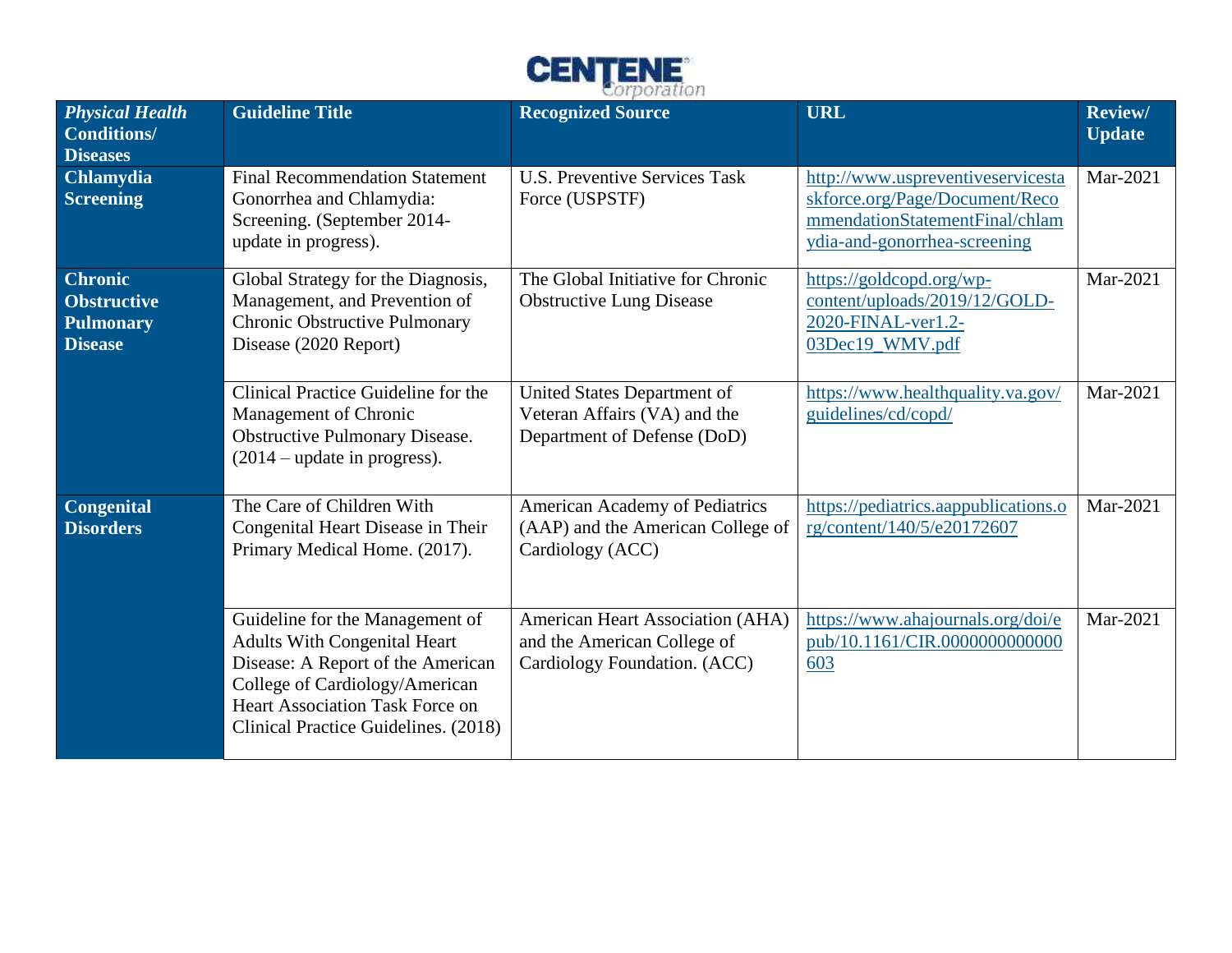

| <b>Physical Health</b><br><b>Conditions/</b><br><b>Diseases</b>     | <b>Guideline Title</b>                                                                                                                                                                                                          | <b>Recognized Source</b>                                                                        | <b>URL</b>                                                                                                                            | <b>Review/</b><br><b>Update</b> |
|---------------------------------------------------------------------|---------------------------------------------------------------------------------------------------------------------------------------------------------------------------------------------------------------------------------|-------------------------------------------------------------------------------------------------|---------------------------------------------------------------------------------------------------------------------------------------|---------------------------------|
| <b>Chlamydia</b><br><b>Screening</b>                                | <b>Final Recommendation Statement</b><br>Gonorrhea and Chlamydia:<br>Screening. (September 2014-<br>update in progress).                                                                                                        | <b>U.S. Preventive Services Task</b><br>Force (USPSTF)                                          | http://www.uspreventiveservicesta<br>skforce.org/Page/Document/Reco<br>mmendationStatementFinal/chlam<br>ydia-and-gonorrhea-screening | Mar-2021                        |
| <b>Chronic</b><br><b>Obstructive</b><br>Pulmonary<br><b>Disease</b> | Global Strategy for the Diagnosis,<br>Management, and Prevention of<br>Chronic Obstructive Pulmonary<br>Disease (2020 Report)                                                                                                   | The Global Initiative for Chronic<br><b>Obstructive Lung Disease</b>                            | https://goldcopd.org/wp-<br>content/uploads/2019/12/GOLD-<br>2020-FINAL-ver1.2-<br>03Dec19_WMV.pdf                                    | Mar-2021                        |
|                                                                     | Clinical Practice Guideline for the<br>Management of Chronic<br>Obstructive Pulmonary Disease.<br>$(2014 - update in progress).$                                                                                                | United States Department of<br>Veteran Affairs (VA) and the<br>Department of Defense (DoD)      | https://www.healthquality.va.gov/<br>guidelines/cd/copd/                                                                              | Mar-2021                        |
| <b>Congenital</b><br><b>Disorders</b>                               | The Care of Children With<br>Congenital Heart Disease in Their<br>Primary Medical Home. (2017).                                                                                                                                 | American Academy of Pediatrics<br>(AAP) and the American College of<br>Cardiology (ACC)         | https://pediatrics.aappublications.o<br>rg/content/140/5/e20172607                                                                    | Mar-2021                        |
|                                                                     | Guideline for the Management of<br><b>Adults With Congenital Heart</b><br>Disease: A Report of the American<br>College of Cardiology/American<br><b>Heart Association Task Force on</b><br>Clinical Practice Guidelines. (2018) | American Heart Association (AHA)<br>and the American College of<br>Cardiology Foundation. (ACC) | https://www.ahajournals.org/doi/e<br>pub/10.1161/CIR.0000000000000<br>603                                                             | Mar-2021                        |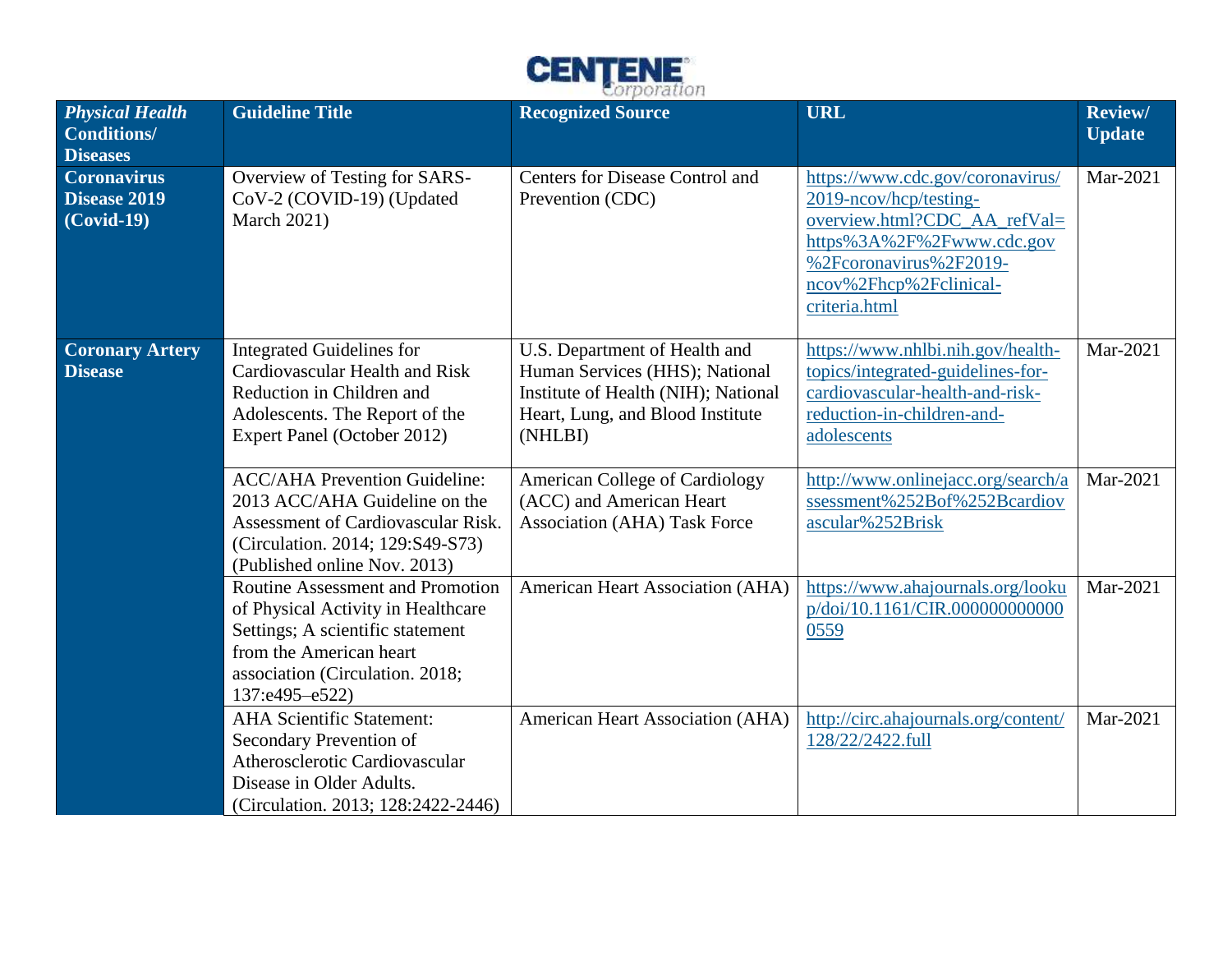

| <b>Physical Health</b><br>Conditions/<br><b>Diseases</b> | <b>Guideline Title</b>                                                                                                                                                                            | <b>Recognized Source</b>                                                                                                                              | <b>URL</b>                                                                                                                                                                                   | <b>Review/</b><br><b>Update</b> |
|----------------------------------------------------------|---------------------------------------------------------------------------------------------------------------------------------------------------------------------------------------------------|-------------------------------------------------------------------------------------------------------------------------------------------------------|----------------------------------------------------------------------------------------------------------------------------------------------------------------------------------------------|---------------------------------|
| <b>Coronavirus</b><br>Disease 2019<br>$(Covid-19)$       | Overview of Testing for SARS-<br>CoV-2 (COVID-19) (Updated<br><b>March 2021)</b>                                                                                                                  | <b>Centers for Disease Control and</b><br>Prevention (CDC)                                                                                            | https://www.cdc.gov/coronavirus/<br>2019-ncov/hcp/testing-<br>overview.html?CDC_AA_refVal=<br>https%3A%2F%2Fwww.cdc.gov<br>%2Fcoronavirus%2F2019-<br>ncov%2Fhcp%2Fclinical-<br>criteria.html | Mar-2021                        |
| <b>Coronary Artery</b><br><b>Disease</b>                 | <b>Integrated Guidelines for</b><br>Cardiovascular Health and Risk<br>Reduction in Children and<br>Adolescents. The Report of the<br>Expert Panel (October 2012)                                  | U.S. Department of Health and<br>Human Services (HHS); National<br>Institute of Health (NIH); National<br>Heart, Lung, and Blood Institute<br>(NHLBI) | https://www.nhlbi.nih.gov/health-<br>topics/integrated-guidelines-for-<br>cardiovascular-health-and-risk-<br>reduction-in-children-and-<br>adolescents                                       | Mar-2021                        |
|                                                          | <b>ACC/AHA Prevention Guideline:</b><br>2013 ACC/AHA Guideline on the<br>Assessment of Cardiovascular Risk.<br>(Circulation. 2014; 129:S49-S73)<br>(Published online Nov. 2013)                   | <b>American College of Cardiology</b><br>(ACC) and American Heart<br><b>Association (AHA) Task Force</b>                                              | http://www.onlinejacc.org/search/a<br>ssessment%252Bof%252Bcardiov<br>ascular%252Brisk                                                                                                       | Mar-2021                        |
|                                                          | <b>Routine Assessment and Promotion</b><br>of Physical Activity in Healthcare<br>Settings; A scientific statement<br>from the American heart<br>association (Circulation. 2018;<br>137:e495-e522) | American Heart Association (AHA)                                                                                                                      | https://www.ahajournals.org/looku<br>p/doi/10.1161/CIR.000000000000<br>0559                                                                                                                  | Mar-2021                        |
|                                                          | <b>AHA Scientific Statement:</b><br>Secondary Prevention of<br>Atherosclerotic Cardiovascular<br>Disease in Older Adults.<br>(Circulation. 2013; 128:2422-2446)                                   | American Heart Association (AHA)                                                                                                                      | http://circ.ahajournals.org/content/<br>128/22/2422.full                                                                                                                                     | Mar-2021                        |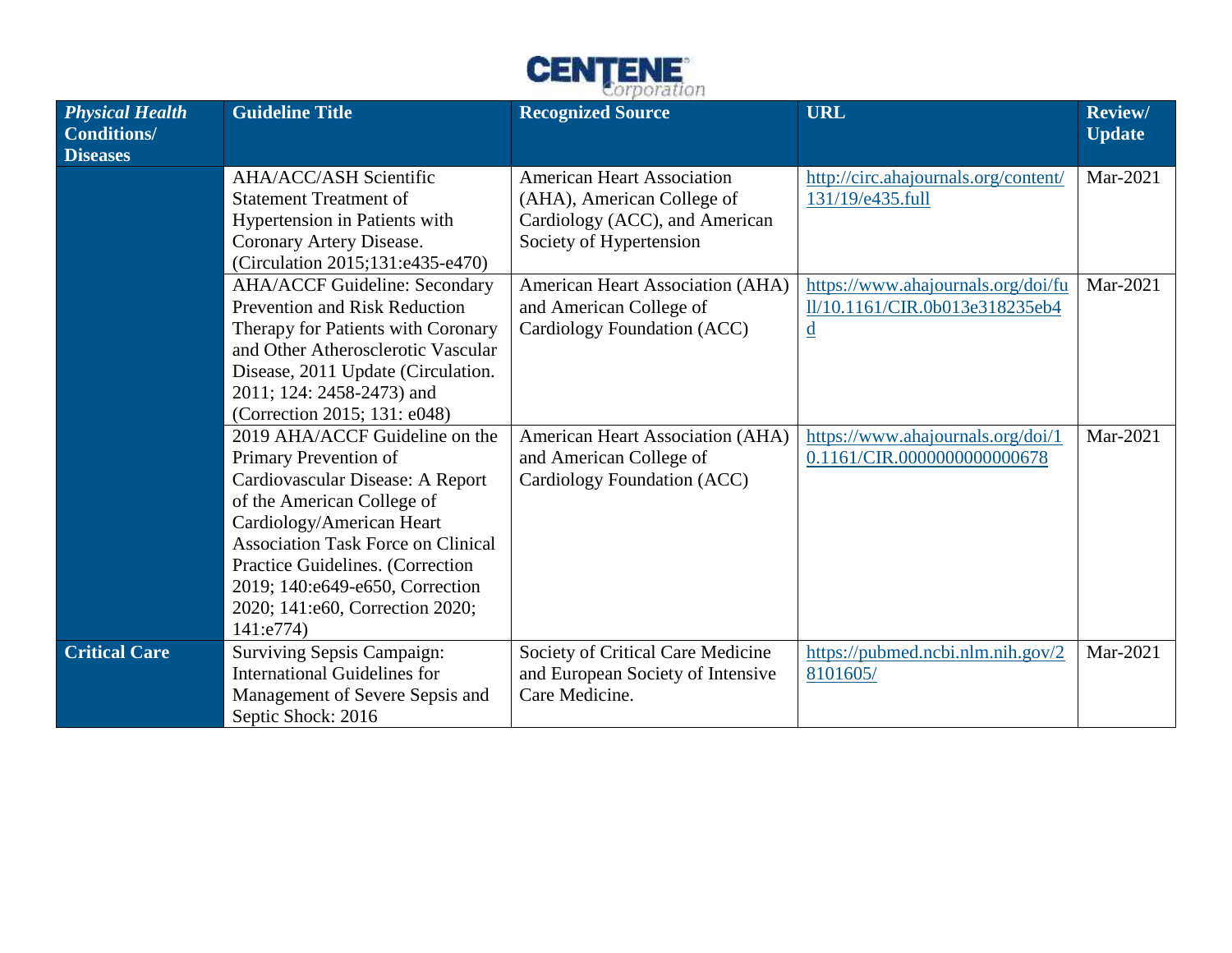

| <b>Physical Health</b><br><b>Conditions/</b><br><b>Diseases</b> | <b>Guideline Title</b>                                                                                                                                                                                                                                                                                                     | <b>Recognized Source</b>                                                                                                     | <b>URL</b>                                                                                       | <b>Review/</b><br><b>Update</b> |
|-----------------------------------------------------------------|----------------------------------------------------------------------------------------------------------------------------------------------------------------------------------------------------------------------------------------------------------------------------------------------------------------------------|------------------------------------------------------------------------------------------------------------------------------|--------------------------------------------------------------------------------------------------|---------------------------------|
|                                                                 | <b>AHA/ACC/ASH Scientific</b><br><b>Statement Treatment of</b><br>Hypertension in Patients with<br>Coronary Artery Disease.<br>(Circulation 2015;131:e435-e470)                                                                                                                                                            | <b>American Heart Association</b><br>(AHA), American College of<br>Cardiology (ACC), and American<br>Society of Hypertension | http://circ.ahajournals.org/content/<br>131/19/e435.full                                         | Mar-2021                        |
|                                                                 | <b>AHA/ACCF Guideline: Secondary</b><br><b>Prevention and Risk Reduction</b><br>Therapy for Patients with Coronary<br>and Other Atherosclerotic Vascular<br>Disease, 2011 Update (Circulation.<br>2011; 124: 2458-2473) and<br>(Correction 2015; 131: e048)                                                                | American Heart Association (AHA)<br>and American College of<br>Cardiology Foundation (ACC)                                   | https://www.ahajournals.org/doi/fu<br>ll/10.1161/CIR.0b013e318235eb4<br>$\underline{\mathrm{d}}$ | Mar-2021                        |
|                                                                 | 2019 AHA/ACCF Guideline on the<br>Primary Prevention of<br>Cardiovascular Disease: A Report<br>of the American College of<br>Cardiology/American Heart<br><b>Association Task Force on Clinical</b><br>Practice Guidelines. (Correction<br>2019; 140:e649-e650, Correction<br>2020; 141:e60, Correction 2020;<br>141:e774) | American Heart Association (AHA)<br>and American College of<br>Cardiology Foundation (ACC)                                   | https://www.ahajournals.org/doi/1<br>0.1161/CIR.0000000000000678                                 | Mar-2021                        |
| <b>Critical Care</b>                                            | <b>Surviving Sepsis Campaign:</b><br><b>International Guidelines for</b><br>Management of Severe Sepsis and<br>Septic Shock: 2016                                                                                                                                                                                          | Society of Critical Care Medicine<br>and European Society of Intensive<br>Care Medicine.                                     | https://pubmed.ncbi.nlm.nih.gov/2<br>8101605/                                                    | Mar-2021                        |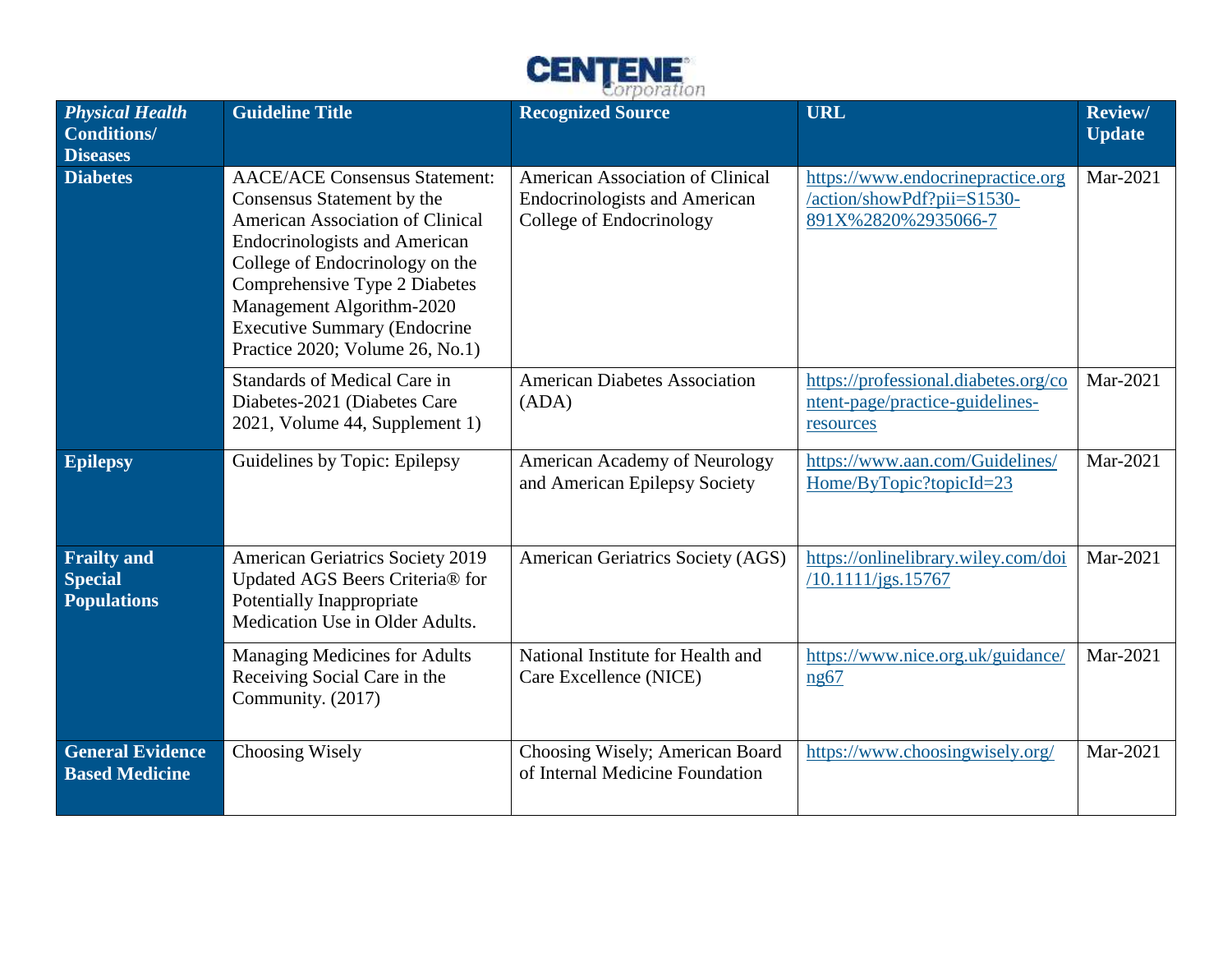

| <b>Physical Health</b><br><b>Conditions/</b><br><b>Diseases</b> | <b>Guideline Title</b>                                                                                                                                                                                                                                                                                                    | <b>Recognized Source</b>                                                                             | <b>URL</b>                                                                             | <b>Review/</b><br><b>Update</b> |
|-----------------------------------------------------------------|---------------------------------------------------------------------------------------------------------------------------------------------------------------------------------------------------------------------------------------------------------------------------------------------------------------------------|------------------------------------------------------------------------------------------------------|----------------------------------------------------------------------------------------|---------------------------------|
| <b>Diabetes</b>                                                 | <b>AACE/ACE Consensus Statement:</b><br>Consensus Statement by the<br>American Association of Clinical<br><b>Endocrinologists and American</b><br>College of Endocrinology on the<br>Comprehensive Type 2 Diabetes<br>Management Algorithm-2020<br><b>Executive Summary (Endocrine</b><br>Practice 2020; Volume 26, No.1) | American Association of Clinical<br><b>Endocrinologists and American</b><br>College of Endocrinology | https://www.endocrinepractice.org<br>/action/showPdf?pii=S1530-<br>891X%2820%2935066-7 | Mar-2021                        |
|                                                                 | Standards of Medical Care in<br>Diabetes-2021 (Diabetes Care<br>2021, Volume 44, Supplement 1)                                                                                                                                                                                                                            | <b>American Diabetes Association</b><br>(ADA)                                                        | https://professional.diabetes.org/co<br>ntent-page/practice-guidelines-<br>resources   | Mar-2021                        |
| <b>Epilepsy</b>                                                 | Guidelines by Topic: Epilepsy                                                                                                                                                                                                                                                                                             | American Academy of Neurology<br>and American Epilepsy Society                                       | https://www.aan.com/Guidelines/<br>Home/ByTopic?topicId=23                             | Mar-2021                        |
| <b>Frailty and</b><br><b>Special</b><br><b>Populations</b>      | <b>American Geriatrics Society 2019</b><br>Updated AGS Beers Criteria® for<br>Potentially Inappropriate<br>Medication Use in Older Adults.                                                                                                                                                                                | American Geriatrics Society (AGS)                                                                    | https://onlinelibrary.wiley.com/doi<br>/10.1111/jgs.15767                              | Mar-2021                        |
|                                                                 | <b>Managing Medicines for Adults</b><br>Receiving Social Care in the<br>Community. (2017)                                                                                                                                                                                                                                 | National Institute for Health and<br>Care Excellence (NICE)                                          | https://www.nice.org.uk/guidance/<br>ng67                                              | Mar-2021                        |
| <b>General Evidence</b><br><b>Based Medicine</b>                | Choosing Wisely                                                                                                                                                                                                                                                                                                           | Choosing Wisely; American Board<br>of Internal Medicine Foundation                                   | https://www.choosingwisely.org/                                                        | Mar-2021                        |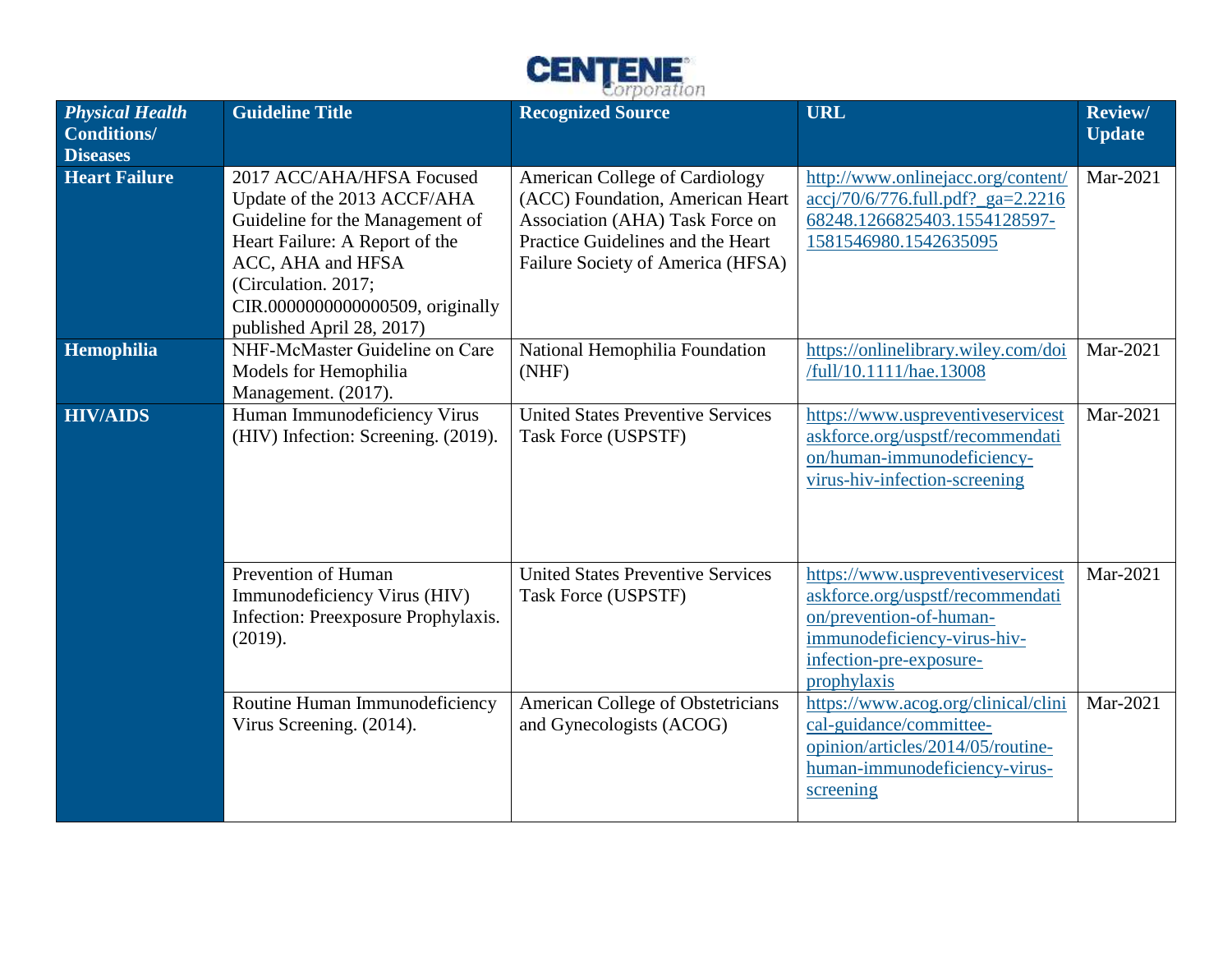

| <b>Physical Health</b><br><b>Conditions/</b><br><b>Diseases</b> | <b>Guideline Title</b>                                                                                                                                                                                                                     | <b>Recognized Source</b>                                                                                                                                                               | <b>URL</b>                                                                                                                                                                | <b>Review/</b><br><b>Update</b> |
|-----------------------------------------------------------------|--------------------------------------------------------------------------------------------------------------------------------------------------------------------------------------------------------------------------------------------|----------------------------------------------------------------------------------------------------------------------------------------------------------------------------------------|---------------------------------------------------------------------------------------------------------------------------------------------------------------------------|---------------------------------|
| <b>Heart Failure</b>                                            | 2017 ACC/AHA/HFSA Focused<br>Update of the 2013 ACCF/AHA<br>Guideline for the Management of<br>Heart Failure: A Report of the<br>ACC, AHA and HFSA<br>(Circulation. 2017;<br>CIR.0000000000000509, originally<br>published April 28, 2017) | <b>American College of Cardiology</b><br>(ACC) Foundation, American Heart<br>Association (AHA) Task Force on<br>Practice Guidelines and the Heart<br>Failure Society of America (HFSA) | http://www.onlinejacc.org/content/<br>$accj/70/6/776$ .full.pdf?_ga=2.2216<br>68248.1266825403.1554128597-<br>1581546980.1542635095                                       | Mar-2021                        |
| Hemophilia                                                      | NHF-McMaster Guideline on Care<br>Models for Hemophilia<br>Management. (2017).                                                                                                                                                             | National Hemophilia Foundation<br>(NHF)                                                                                                                                                | https://onlinelibrary.wiley.com/doi<br>/full/10.1111/hae.13008                                                                                                            | Mar-2021                        |
| <b>HIV/AIDS</b>                                                 | Human Immunodeficiency Virus<br>(HIV) Infection: Screening. (2019).                                                                                                                                                                        | <b>United States Preventive Services</b><br>Task Force (USPSTF)                                                                                                                        | https://www.uspreventiveservicest<br>askforce.org/uspstf/recommendati<br>on/human-immunodeficiency-<br>virus-hiv-infection-screening                                      | Mar-2021                        |
|                                                                 | Prevention of Human<br>Immunodeficiency Virus (HIV)<br>Infection: Preexposure Prophylaxis.<br>(2019).                                                                                                                                      | <b>United States Preventive Services</b><br>Task Force (USPSTF)                                                                                                                        | https://www.uspreventiveservicest<br>askforce.org/uspstf/recommendati<br>on/prevention-of-human-<br>immunodeficiency-virus-hiv-<br>infection-pre-exposure-<br>prophylaxis | Mar-2021                        |
|                                                                 | Routine Human Immunodeficiency<br>Virus Screening. (2014).                                                                                                                                                                                 | American College of Obstetricians<br>and Gynecologists (ACOG)                                                                                                                          | https://www.acog.org/clinical/clini<br>cal-guidance/committee-<br>opinion/articles/2014/05/routine-<br>human-immunodeficiency-virus-<br>screening                         | Mar-2021                        |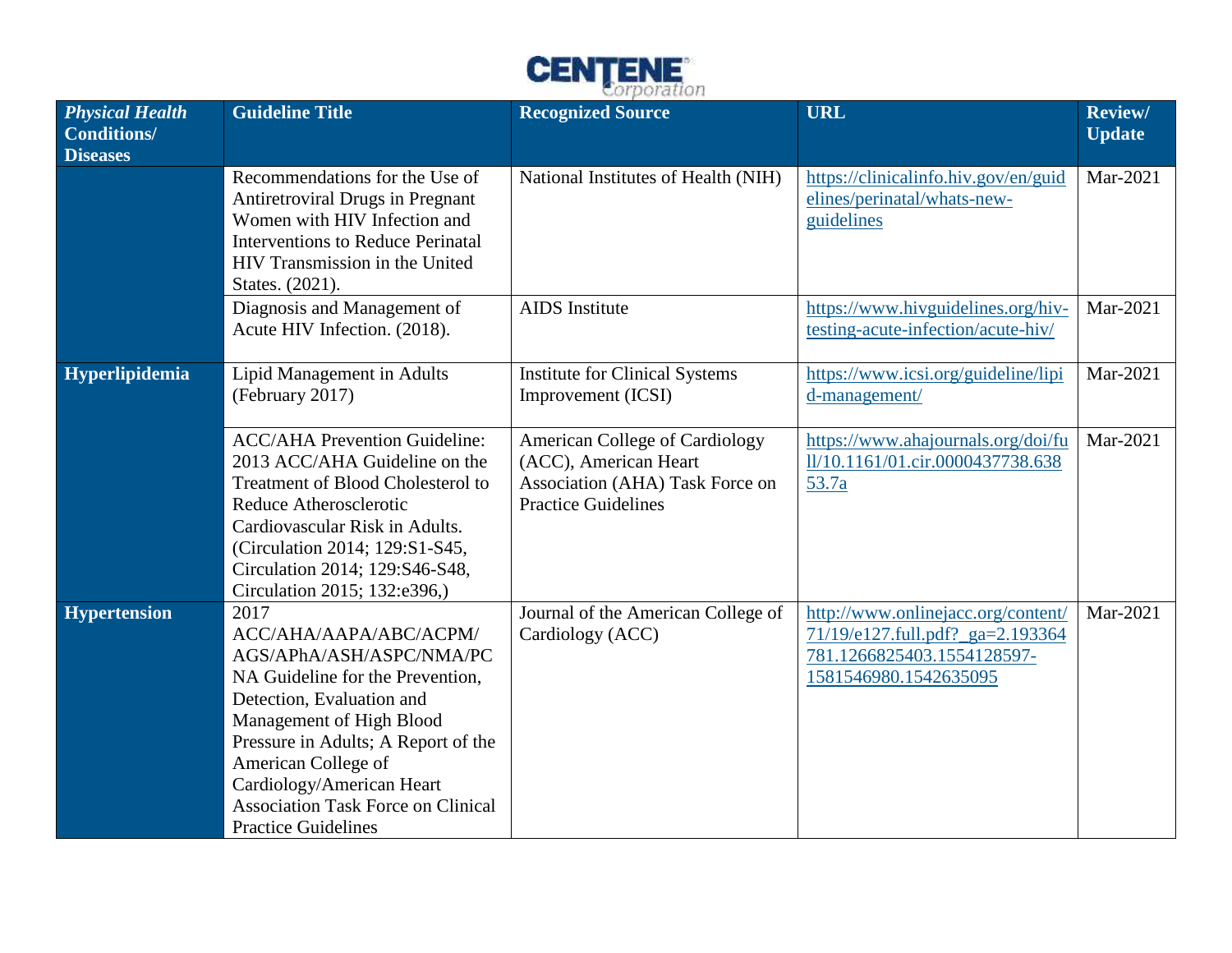

| <b>Physical Health</b><br><b>Conditions/</b><br><b>Diseases</b> | <b>Guideline Title</b>                                                                                                                                                                                                                                                                                                        | <b>Recognized Source</b>                                                                                                        | <b>URL</b>                                                                                                                    | Review/<br><b>Update</b> |
|-----------------------------------------------------------------|-------------------------------------------------------------------------------------------------------------------------------------------------------------------------------------------------------------------------------------------------------------------------------------------------------------------------------|---------------------------------------------------------------------------------------------------------------------------------|-------------------------------------------------------------------------------------------------------------------------------|--------------------------|
|                                                                 | Recommendations for the Use of<br>Antiretroviral Drugs in Pregnant<br>Women with HIV Infection and<br><b>Interventions to Reduce Perinatal</b><br>HIV Transmission in the United<br>States. (2021).                                                                                                                           | National Institutes of Health (NIH)                                                                                             | https://clinicalinfo.hiv.gov/en/guid<br>elines/perinatal/whats-new-<br>guidelines                                             | Mar-2021                 |
|                                                                 | Diagnosis and Management of<br>Acute HIV Infection. (2018).                                                                                                                                                                                                                                                                   | <b>AIDS</b> Institute                                                                                                           | https://www.hivguidelines.org/hiv-<br>testing-acute-infection/acute-hiv/                                                      | Mar-2021                 |
| Hyperlipidemia                                                  | Lipid Management in Adults<br>(February 2017)                                                                                                                                                                                                                                                                                 | <b>Institute for Clinical Systems</b><br>Improvement (ICSI)                                                                     | https://www.icsi.org/guideline/lipi<br>d-management/                                                                          | Mar-2021                 |
|                                                                 | <b>ACC/AHA Prevention Guideline:</b><br>2013 ACC/AHA Guideline on the<br>Treatment of Blood Cholesterol to<br>Reduce Atherosclerotic<br>Cardiovascular Risk in Adults.<br>(Circulation 2014; 129:S1-S45,<br>Circulation 2014; 129:S46-S48,<br>Circulation 2015; 132:e396,)                                                    | <b>American College of Cardiology</b><br>(ACC), American Heart<br>Association (AHA) Task Force on<br><b>Practice Guidelines</b> | https://www.ahajournals.org/doi/fu<br>ll/10.1161/01.cir.0000437738.638<br>53.7a                                               | Mar-2021                 |
| <b>Hypertension</b>                                             | 2017<br>ACC/AHA/AAPA/ABC/ACPM/<br>AGS/APhA/ASH/ASPC/NMA/PC<br>NA Guideline for the Prevention,<br>Detection, Evaluation and<br>Management of High Blood<br>Pressure in Adults; A Report of the<br>American College of<br>Cardiology/American Heart<br><b>Association Task Force on Clinical</b><br><b>Practice Guidelines</b> | Journal of the American College of<br>Cardiology (ACC)                                                                          | http://www.onlinejacc.org/content/<br>71/19/e127.full.pdf?_ga=2.193364<br>781.1266825403.1554128597-<br>1581546980.1542635095 | Mar-2021                 |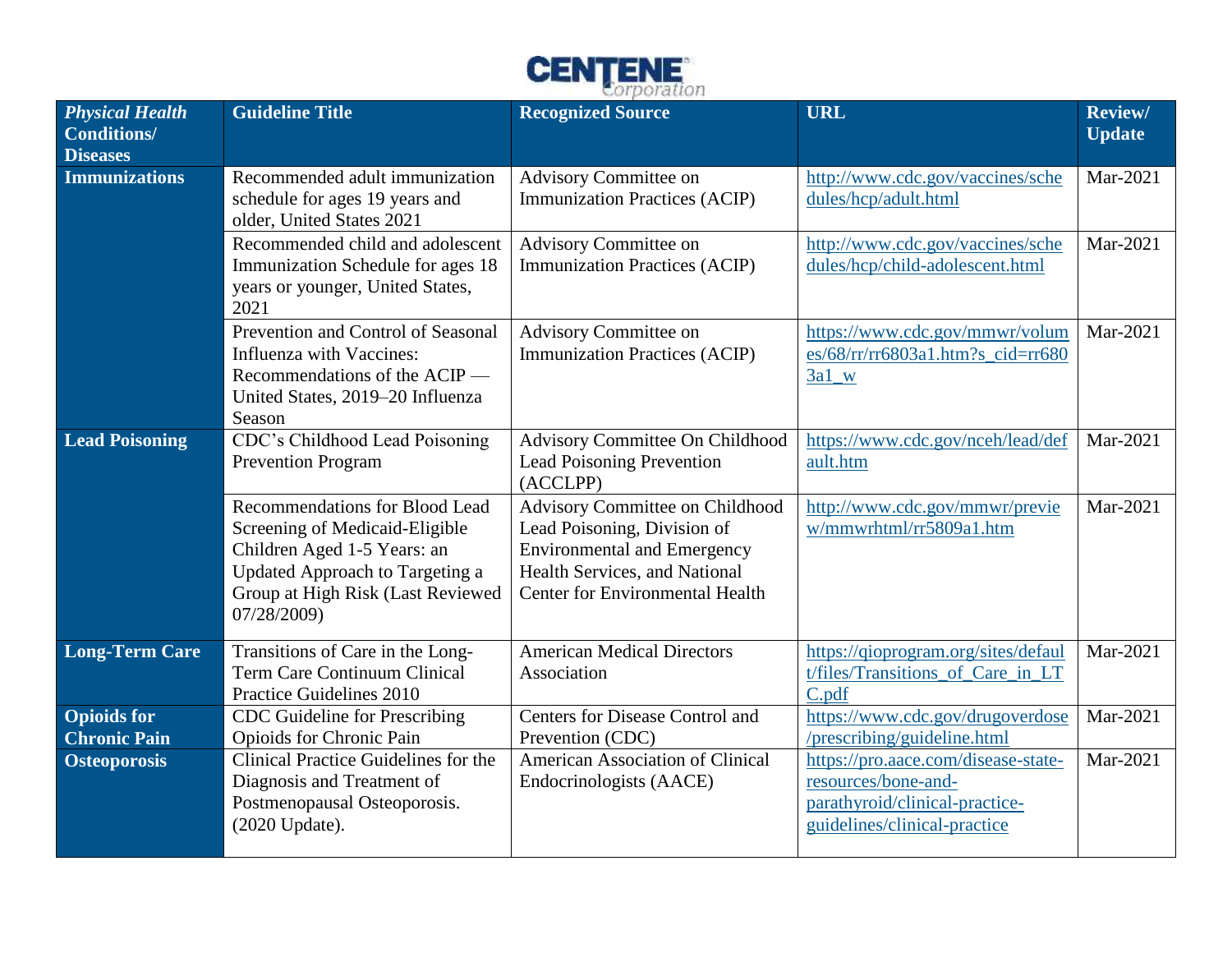

| <b>Physical Health</b><br><b>Conditions/</b> | <b>Guideline Title</b>                                                                                                                                                                 | <b>Recognized Source</b>                                                                                                                                                        | <b>URL</b>                                                                                                                   | <b>Review/</b><br><b>Update</b> |
|----------------------------------------------|----------------------------------------------------------------------------------------------------------------------------------------------------------------------------------------|---------------------------------------------------------------------------------------------------------------------------------------------------------------------------------|------------------------------------------------------------------------------------------------------------------------------|---------------------------------|
| <b>Diseases</b>                              |                                                                                                                                                                                        |                                                                                                                                                                                 |                                                                                                                              |                                 |
| <b>Immunizations</b>                         | Recommended adult immunization<br>schedule for ages 19 years and<br>older, United States 2021                                                                                          | Advisory Committee on<br><b>Immunization Practices (ACIP)</b>                                                                                                                   | http://www.cdc.gov/vaccines/sche<br>dules/hcp/adult.html                                                                     | Mar-2021                        |
|                                              | Recommended child and adolescent<br>Immunization Schedule for ages 18<br>years or younger, United States,<br>2021                                                                      | Advisory Committee on<br><b>Immunization Practices (ACIP)</b>                                                                                                                   | http://www.cdc.gov/vaccines/sche<br>dules/hcp/child-adolescent.html                                                          | Mar-2021                        |
|                                              | Prevention and Control of Seasonal<br>Influenza with Vaccines:<br>Recommendations of the ACIP —<br>United States, 2019-20 Influenza<br>Season                                          | Advisory Committee on<br><b>Immunization Practices (ACIP)</b>                                                                                                                   | https://www.cdc.gov/mmwr/volum<br>es/68/rr/rr6803a1.htm?s_cid=rr680<br>$3a1_w$                                               | Mar-2021                        |
| <b>Lead Poisoning</b>                        | CDC's Childhood Lead Poisoning<br><b>Prevention Program</b>                                                                                                                            | Advisory Committee On Childhood<br>Lead Poisoning Prevention<br>(ACCLPP)                                                                                                        | https://www.cdc.gov/nceh/lead/def<br>ault.htm                                                                                | Mar-2021                        |
|                                              | Recommendations for Blood Lead<br>Screening of Medicaid-Eligible<br>Children Aged 1-5 Years: an<br>Updated Approach to Targeting a<br>Group at High Risk (Last Reviewed<br>07/28/2009) | Advisory Committee on Childhood<br>Lead Poisoning, Division of<br><b>Environmental and Emergency</b><br>Health Services, and National<br><b>Center for Environmental Health</b> | http://www.cdc.gov/mmwr/previe<br>w/mmwrhtml/rr5809a1.htm                                                                    | Mar-2021                        |
| <b>Long-Term Care</b>                        | Transitions of Care in the Long-<br><b>Term Care Continuum Clinical</b><br>Practice Guidelines 2010                                                                                    | <b>American Medical Directors</b><br>Association                                                                                                                                | https://qioprogram.org/sites/defaul<br>t/files/Transitions_of_Care_in_LT<br>C.pdf                                            | Mar-2021                        |
| <b>Opioids</b> for<br><b>Chronic Pain</b>    | <b>CDC</b> Guideline for Prescribing<br>Opioids for Chronic Pain                                                                                                                       | Centers for Disease Control and<br>Prevention (CDC)                                                                                                                             | https://www.cdc.gov/drugoverdose<br>/prescribing/guideline.html                                                              | Mar-2021                        |
| <b>Osteoporosis</b>                          | Clinical Practice Guidelines for the<br>Diagnosis and Treatment of<br>Postmenopausal Osteoporosis.<br>(2020 Update).                                                                   | <b>American Association of Clinical</b><br>Endocrinologists (AACE)                                                                                                              | https://pro.aace.com/disease-state-<br>resources/bone-and-<br>parathyroid/clinical-practice-<br>guidelines/clinical-practice | Mar-2021                        |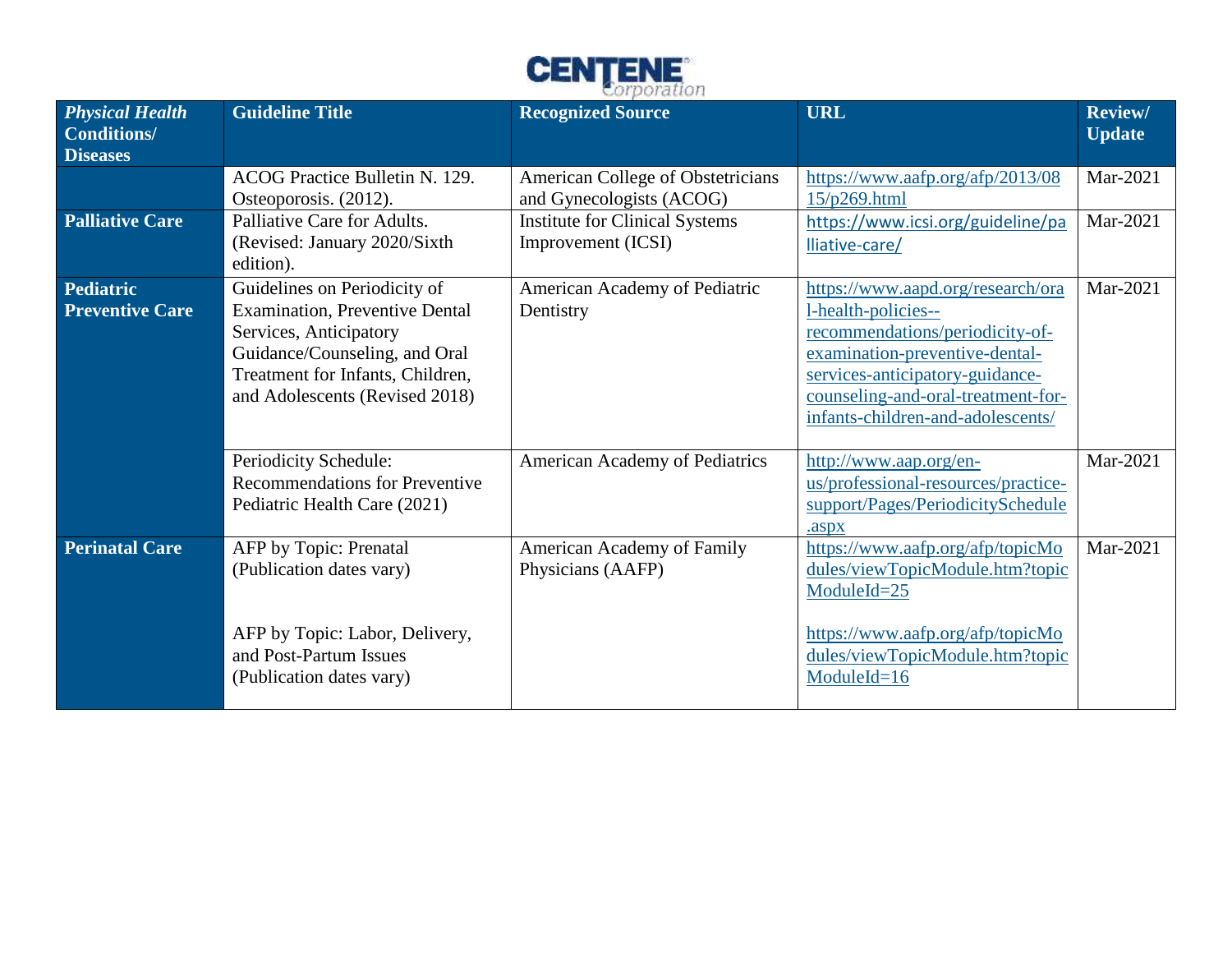

| <b>Physical Health</b><br><b>Conditions/</b><br><b>Diseases</b> | <b>Guideline Title</b>                                                                                                                                                                                 | <b>Recognized Source</b>                                      | <b>URL</b>                                                                                                                                                                                                                                  | <b>Review/</b><br><b>Update</b> |
|-----------------------------------------------------------------|--------------------------------------------------------------------------------------------------------------------------------------------------------------------------------------------------------|---------------------------------------------------------------|---------------------------------------------------------------------------------------------------------------------------------------------------------------------------------------------------------------------------------------------|---------------------------------|
|                                                                 | ACOG Practice Bulletin N. 129.<br>Osteoporosis. (2012).                                                                                                                                                | American College of Obstetricians<br>and Gynecologists (ACOG) | https://www.aafp.org/afp/2013/08<br>15/p269.html                                                                                                                                                                                            | Mar-2021                        |
| <b>Palliative Care</b>                                          | Palliative Care for Adults.<br>(Revised: January 2020/Sixth<br>edition).                                                                                                                               | <b>Institute for Clinical Systems</b><br>Improvement (ICSI)   | https://www.icsi.org/guideline/pa<br>lliative-care/                                                                                                                                                                                         | Mar-2021                        |
| <b>Pediatric</b><br><b>Preventive Care</b>                      | Guidelines on Periodicity of<br><b>Examination, Preventive Dental</b><br>Services, Anticipatory<br>Guidance/Counseling, and Oral<br>Treatment for Infants, Children,<br>and Adolescents (Revised 2018) | American Academy of Pediatric<br>Dentistry                    | https://www.aapd.org/research/ora<br>l-health-policies--<br>recommendations/periodicity-of-<br>examination-preventive-dental-<br>services-anticipatory-guidance-<br>counseling-and-oral-treatment-for-<br>infants-children-and-adolescents/ | Mar-2021                        |
|                                                                 | Periodicity Schedule:<br><b>Recommendations for Preventive</b><br>Pediatric Health Care (2021)                                                                                                         | <b>American Academy of Pediatrics</b>                         | http://www.aap.org/en-<br>us/professional-resources/practice-<br>support/Pages/PeriodicitySchedule<br>.aspx                                                                                                                                 | Mar-2021                        |
| <b>Perinatal Care</b>                                           | AFP by Topic: Prenatal<br>(Publication dates vary)<br>AFP by Topic: Labor, Delivery,<br>and Post-Partum Issues<br>(Publication dates vary)                                                             | American Academy of Family<br>Physicians (AAFP)               | https://www.aafp.org/afp/topicMo<br>dules/viewTopicModule.htm?topic<br>$ModuleId = 25$<br>https://www.aafp.org/afp/topicMo<br>dules/viewTopicModule.htm?topic<br>ModuleId=16                                                                | Mar-2021                        |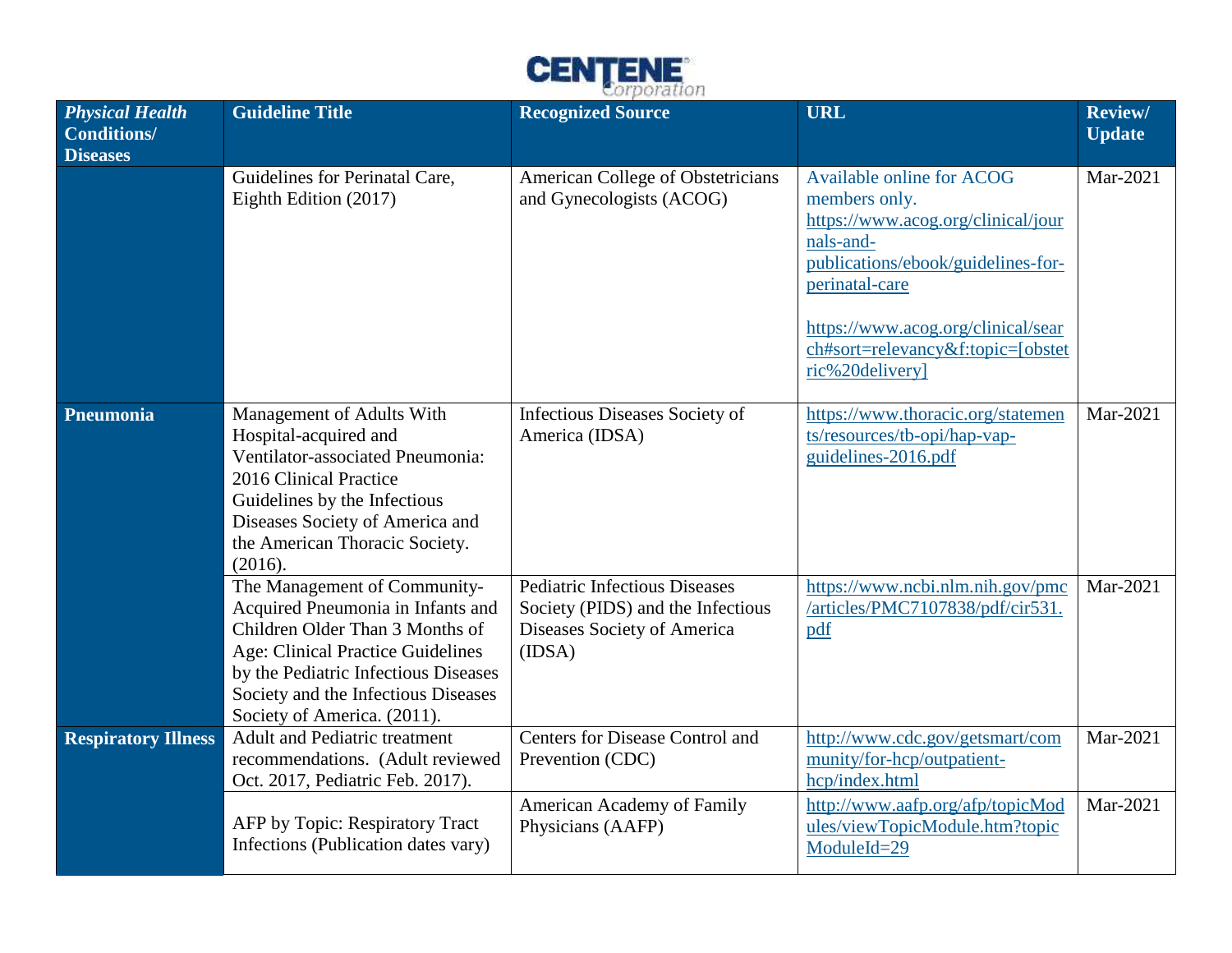

| <b>Physical Health</b><br><b>Conditions/</b><br><b>Diseases</b> | <b>Guideline Title</b>                                                                                                                                                                                                                                  | <b>Recognized Source</b>                                                                                           | <b>URL</b>                                                                                                                                                                                                                                          | <b>Review/</b><br><b>Update</b> |
|-----------------------------------------------------------------|---------------------------------------------------------------------------------------------------------------------------------------------------------------------------------------------------------------------------------------------------------|--------------------------------------------------------------------------------------------------------------------|-----------------------------------------------------------------------------------------------------------------------------------------------------------------------------------------------------------------------------------------------------|---------------------------------|
|                                                                 | Guidelines for Perinatal Care,<br>Eighth Edition (2017)                                                                                                                                                                                                 | American College of Obstetricians<br>and Gynecologists (ACOG)                                                      | Available online for ACOG<br>members only.<br>https://www.acog.org/clinical/jour<br>nals-and-<br>publications/ebook/guidelines-for-<br>perinatal-care<br>https://www.acog.org/clinical/sear<br>ch#sort=relevancy&f:topic=[obstet<br>ric%20delivery] | Mar-2021                        |
| Pneumonia                                                       | Management of Adults With<br>Hospital-acquired and<br>Ventilator-associated Pneumonia:<br>2016 Clinical Practice<br>Guidelines by the Infectious<br>Diseases Society of America and<br>the American Thoracic Society.<br>(2016).                        | Infectious Diseases Society of<br>America (IDSA)                                                                   | https://www.thoracic.org/statemen<br>ts/resources/tb-opi/hap-vap-<br>guidelines-2016.pdf                                                                                                                                                            | Mar-2021                        |
|                                                                 | The Management of Community-<br>Acquired Pneumonia in Infants and<br>Children Older Than 3 Months of<br>Age: Clinical Practice Guidelines<br>by the Pediatric Infectious Diseases<br>Society and the Infectious Diseases<br>Society of America. (2011). | <b>Pediatric Infectious Diseases</b><br>Society (PIDS) and the Infectious<br>Diseases Society of America<br>(IDSA) | https://www.ncbi.nlm.nih.gov/pmc<br>/articles/PMC7107838/pdf/cir531.<br>pdf                                                                                                                                                                         | Mar-2021                        |
| <b>Respiratory Illness</b>                                      | <b>Adult and Pediatric treatment</b><br>recommendations. (Adult reviewed<br>Oct. 2017, Pediatric Feb. 2017).                                                                                                                                            | Centers for Disease Control and<br>Prevention (CDC)                                                                | http://www.cdc.gov/getsmart/com<br>munity/for-hcp/outpatient-<br>hcp/index.html                                                                                                                                                                     | Mar-2021                        |
|                                                                 | AFP by Topic: Respiratory Tract<br>Infections (Publication dates vary)                                                                                                                                                                                  | American Academy of Family<br>Physicians (AAFP)                                                                    | http://www.aafp.org/afp/topicMod<br>ules/viewTopicModule.htm?topic<br>ModuleId=29                                                                                                                                                                   | Mar-2021                        |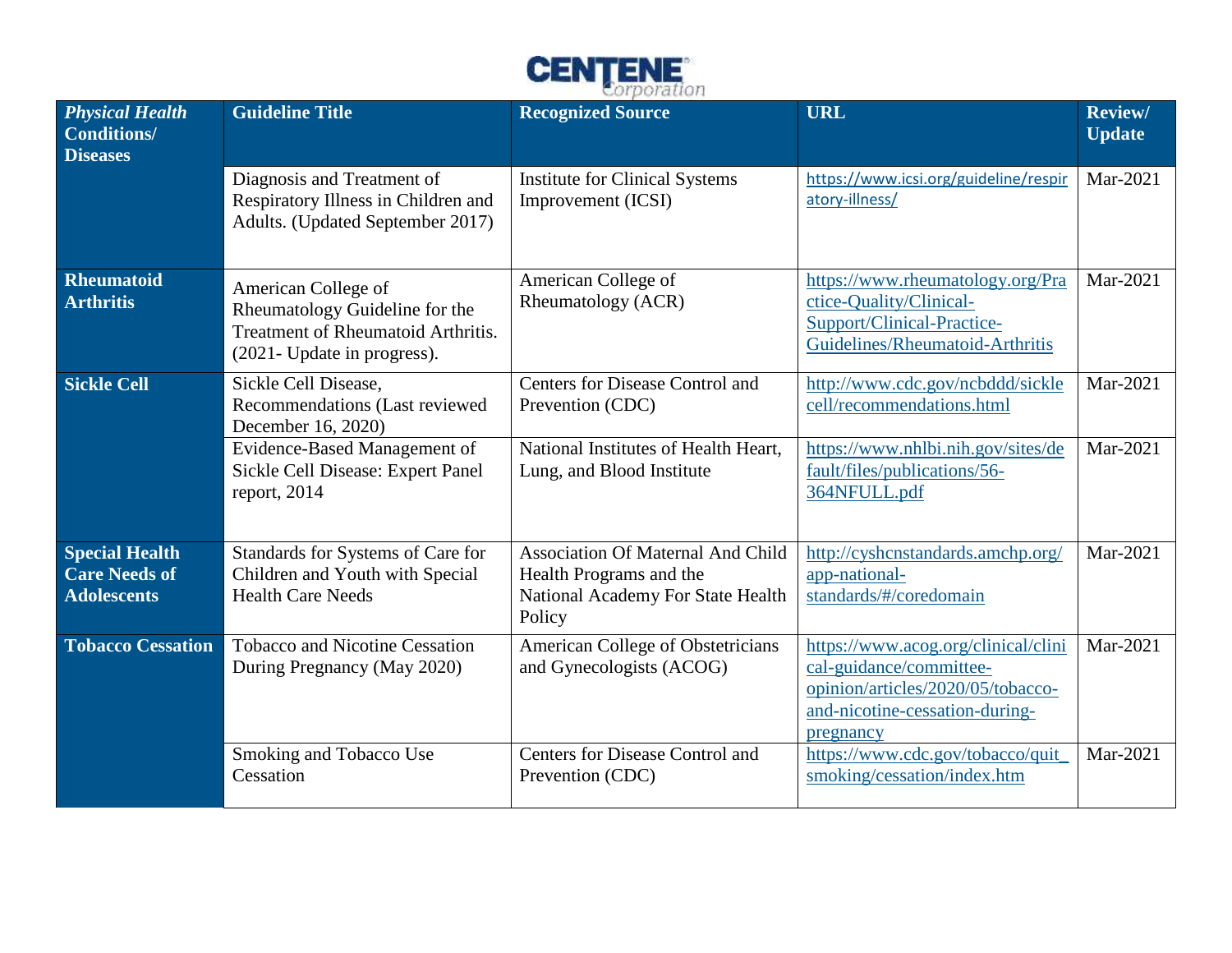

| <b>Physical Health</b><br><b>Conditions/</b><br><b>Diseases</b>     | <b>Guideline Title</b>                                                                                                     | <b>Recognized Source</b>                                                                                           | <b>URL</b>                                                                                                                                         | <b>Review/</b><br><b>Update</b> |
|---------------------------------------------------------------------|----------------------------------------------------------------------------------------------------------------------------|--------------------------------------------------------------------------------------------------------------------|----------------------------------------------------------------------------------------------------------------------------------------------------|---------------------------------|
|                                                                     | Diagnosis and Treatment of<br>Respiratory Illness in Children and<br>Adults. (Updated September 2017)                      | <b>Institute for Clinical Systems</b><br>Improvement (ICSI)                                                        | https://www.icsi.org/guideline/respir<br>atory-illness/                                                                                            | Mar-2021                        |
| <b>Rheumatoid</b><br><b>Arthritis</b>                               | American College of<br>Rheumatology Guideline for the<br>Treatment of Rheumatoid Arthritis.<br>(2021- Update in progress). | American College of<br>Rheumatology (ACR)                                                                          | https://www.rheumatology.org/Pra<br>ctice-Quality/Clinical-<br>Support/Clinical-Practice-<br>Guidelines/Rheumatoid-Arthritis                       | Mar-2021                        |
| <b>Sickle Cell</b>                                                  | Sickle Cell Disease,<br>Recommendations (Last reviewed<br>December 16, 2020)                                               | Centers for Disease Control and<br>Prevention (CDC)                                                                | http://www.cdc.gov/ncbddd/sickle<br>cell/recommendations.html                                                                                      | Mar-2021                        |
|                                                                     | Evidence-Based Management of<br>Sickle Cell Disease: Expert Panel<br>report, $2014$                                        | National Institutes of Health Heart,<br>Lung, and Blood Institute                                                  | https://www.nhlbi.nih.gov/sites/de<br>fault/files/publications/56-<br>364NFULL.pdf                                                                 | Mar-2021                        |
| <b>Special Health</b><br><b>Care Needs of</b><br><b>Adolescents</b> | Standards for Systems of Care for<br>Children and Youth with Special<br><b>Health Care Needs</b>                           | <b>Association Of Maternal And Child</b><br>Health Programs and the<br>National Academy For State Health<br>Policy | http://cyshcnstandards.amchp.org/<br>app-national-<br>standards/#/coredomain                                                                       | Mar-2021                        |
| <b>Tobacco Cessation</b>                                            | <b>Tobacco and Nicotine Cessation</b><br>During Pregnancy (May 2020)                                                       | American College of Obstetricians<br>and Gynecologists (ACOG)                                                      | https://www.acog.org/clinical/clini<br>cal-guidance/committee-<br>opinion/articles/2020/05/tobacco-<br>and-nicotine-cessation-during-<br>pregnancy | Mar-2021                        |
|                                                                     | Smoking and Tobacco Use<br>Cessation                                                                                       | Centers for Disease Control and<br>Prevention (CDC)                                                                | https://www.cdc.gov/tobacco/quit<br>smoking/cessation/index.htm                                                                                    | Mar-2021                        |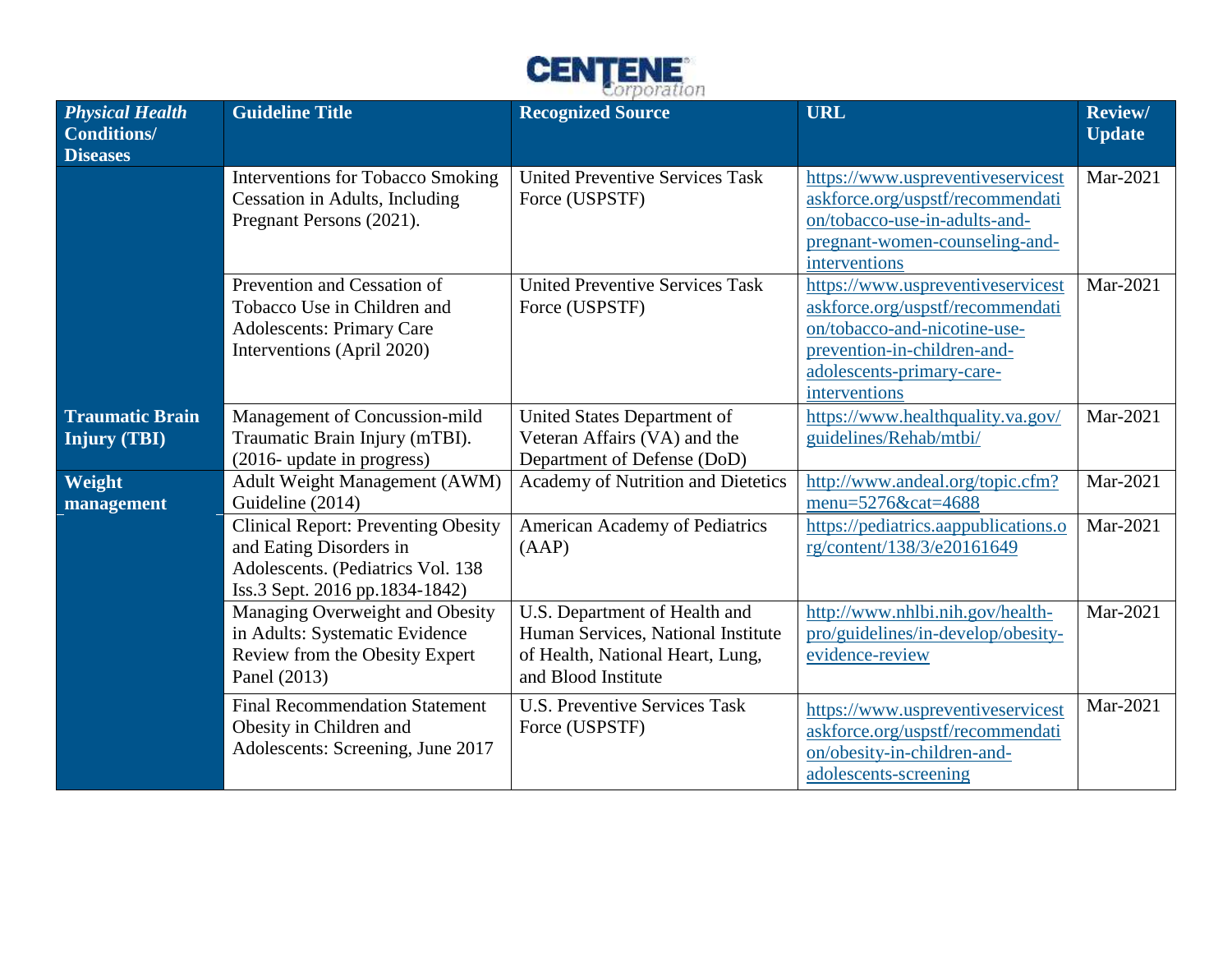

| <b>Physical Health</b><br><b>Conditions/</b><br><b>Diseases</b> | <b>Guideline Title</b>                                                                                                                       | <b>Recognized Source</b>                                                                                                       | <b>URL</b>                                                                                                                                                                         | Review/<br><b>Update</b> |
|-----------------------------------------------------------------|----------------------------------------------------------------------------------------------------------------------------------------------|--------------------------------------------------------------------------------------------------------------------------------|------------------------------------------------------------------------------------------------------------------------------------------------------------------------------------|--------------------------|
|                                                                 | <b>Interventions for Tobacco Smoking</b><br>Cessation in Adults, Including<br>Pregnant Persons (2021).                                       | <b>United Preventive Services Task</b><br>Force (USPSTF)                                                                       | https://www.uspreventiveservicest<br>askforce.org/uspstf/recommendati<br>on/tobacco-use-in-adults-and-<br>pregnant-women-counseling-and-<br>interventions                          | Mar-2021                 |
|                                                                 | Prevention and Cessation of<br>Tobacco Use in Children and<br><b>Adolescents: Primary Care</b><br>Interventions (April 2020)                 | <b>United Preventive Services Task</b><br>Force (USPSTF)                                                                       | https://www.uspreventiveservicest<br>askforce.org/uspstf/recommendati<br>on/tobacco-and-nicotine-use-<br>prevention-in-children-and-<br>adolescents-primary-care-<br>interventions | Mar-2021                 |
| <b>Traumatic Brain</b><br><b>Injury (TBI)</b>                   | Management of Concussion-mild<br>Traumatic Brain Injury (mTBI).<br>(2016- update in progress)                                                | United States Department of<br>Veteran Affairs (VA) and the<br>Department of Defense (DoD)                                     | https://www.healthquality.va.gov/<br>guidelines/Rehab/mtbi/                                                                                                                        | Mar-2021                 |
| Weight<br>management                                            | Adult Weight Management (AWM)<br>Guideline (2014)                                                                                            | Academy of Nutrition and Dietetics                                                                                             | http://www.andeal.org/topic.cfm?<br>menu=5276&cat=4688                                                                                                                             | Mar-2021                 |
|                                                                 | <b>Clinical Report: Preventing Obesity</b><br>and Eating Disorders in<br>Adolescents. (Pediatrics Vol. 138<br>Iss.3 Sept. 2016 pp.1834-1842) | American Academy of Pediatrics<br>(AAP)                                                                                        | https://pediatrics.aappublications.o<br>rg/content/138/3/e20161649                                                                                                                 | Mar-2021                 |
|                                                                 | Managing Overweight and Obesity<br>in Adults: Systematic Evidence<br>Review from the Obesity Expert<br>Panel (2013)                          | U.S. Department of Health and<br>Human Services, National Institute<br>of Health, National Heart, Lung,<br>and Blood Institute | http://www.nhlbi.nih.gov/health-<br>pro/guidelines/in-develop/obesity-<br>evidence-review                                                                                          | Mar-2021                 |
|                                                                 | <b>Final Recommendation Statement</b><br>Obesity in Children and<br>Adolescents: Screening, June 2017                                        | <b>U.S. Preventive Services Task</b><br>Force (USPSTF)                                                                         | https://www.uspreventiveservicest<br>askforce.org/uspstf/recommendati<br>on/obesity-in-children-and-<br>adolescents-screening                                                      | Mar-2021                 |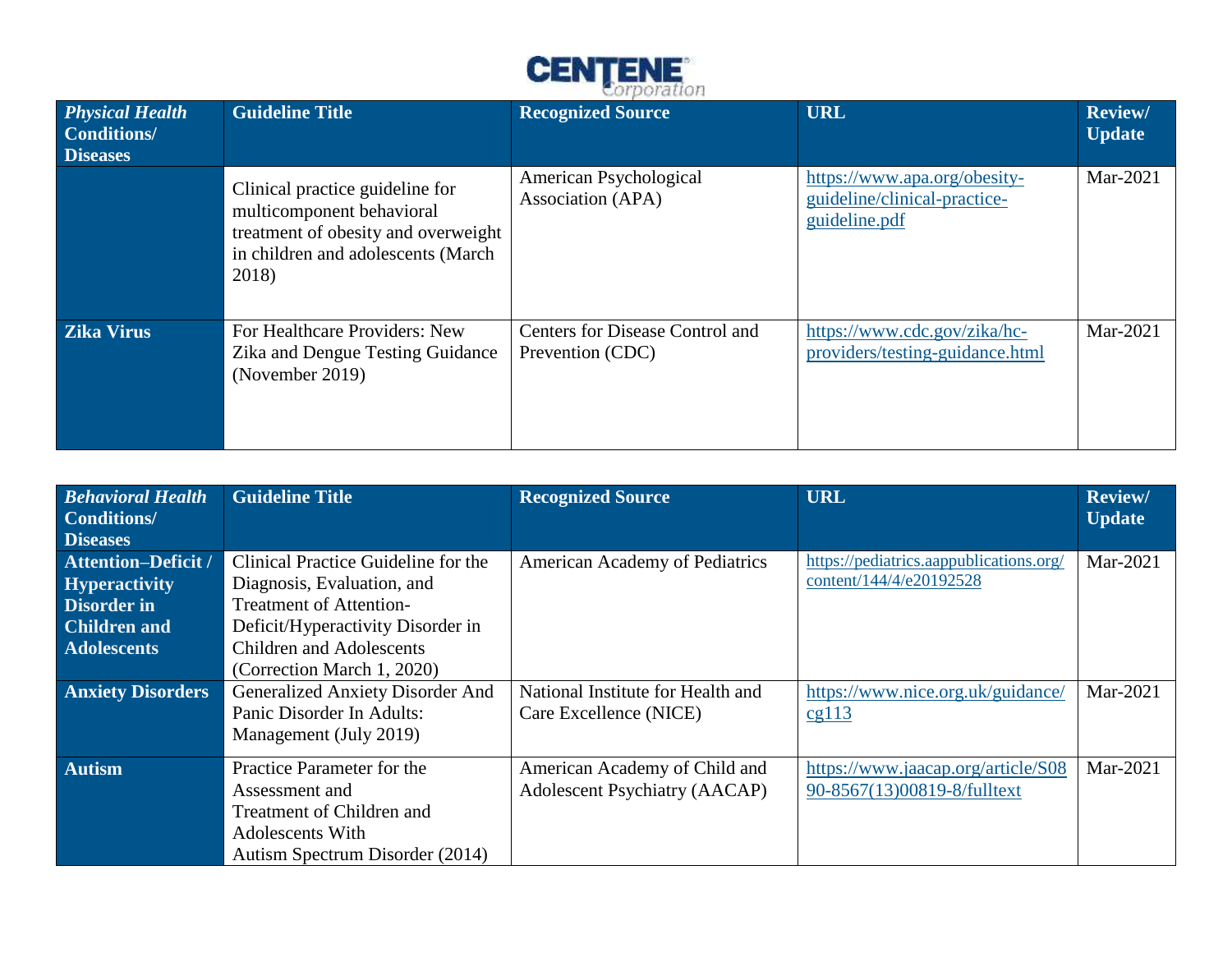

| <b>Physical Health</b><br>Conditions/<br><b>Diseases</b> | <b>Guideline Title</b>                                                                                                                             | and only in the state and a state of<br><b>Recognized Source</b> | <b>URL</b>                                                                    | <b>Review/</b><br><b>Update</b> |
|----------------------------------------------------------|----------------------------------------------------------------------------------------------------------------------------------------------------|------------------------------------------------------------------|-------------------------------------------------------------------------------|---------------------------------|
|                                                          | Clinical practice guideline for<br>multicomponent behavioral<br>treatment of obesity and overweight<br>in children and adolescents (March<br>2018) | American Psychological<br>Association (APA)                      | https://www.apa.org/obesity-<br>guideline/clinical-practice-<br>guideline.pdf | Mar-2021                        |
| <b>Zika Virus</b>                                        | For Healthcare Providers: New<br>Zika and Dengue Testing Guidance<br>(November 2019)                                                               | Centers for Disease Control and<br>Prevention (CDC)              | https://www.cdc.gov/zika/hc-<br>providers/testing-guidance.html               | Mar-2021                        |

| <b>Behavioral Health</b><br><b>Conditions/</b><br><b>Diseases</b> | <b>Guideline Title</b>                                | <b>Recognized Source</b>             | <b>URL</b>                                                         | <b>Review/</b><br><b>Update</b> |
|-------------------------------------------------------------------|-------------------------------------------------------|--------------------------------------|--------------------------------------------------------------------|---------------------------------|
| <b>Attention-Deficit /</b>                                        | Clinical Practice Guideline for the                   | American Academy of Pediatrics       | https://pediatrics.aappublications.org/<br>content/144/4/e20192528 | Mar-2021                        |
| <b>Hyperactivity</b><br><b>Disorder in</b>                        | Diagnosis, Evaluation, and<br>Treatment of Attention- |                                      |                                                                    |                                 |
| <b>Children and</b>                                               | Deficit/Hyperactivity Disorder in                     |                                      |                                                                    |                                 |
| <b>Adolescents</b>                                                | <b>Children and Adolescents</b>                       |                                      |                                                                    |                                 |
|                                                                   | (Correction March 1, 2020)                            |                                      |                                                                    |                                 |
| <b>Anxiety Disorders</b>                                          | Generalized Anxiety Disorder And                      | National Institute for Health and    | https://www.nice.org.uk/guidance/                                  | Mar-2021                        |
|                                                                   | Panic Disorder In Adults:                             | Care Excellence (NICE)               | cg113                                                              |                                 |
|                                                                   | Management (July 2019)                                |                                      |                                                                    |                                 |
| <b>Autism</b>                                                     | Practice Parameter for the                            | American Academy of Child and        | https://www.jaacap.org/article/S08                                 | Mar-2021                        |
|                                                                   | Assessment and                                        | <b>Adolescent Psychiatry (AACAP)</b> | 90-8567(13)00819-8/fulltext                                        |                                 |
|                                                                   | Treatment of Children and                             |                                      |                                                                    |                                 |
|                                                                   | Adolescents With                                      |                                      |                                                                    |                                 |
|                                                                   | Autism Spectrum Disorder (2014)                       |                                      |                                                                    |                                 |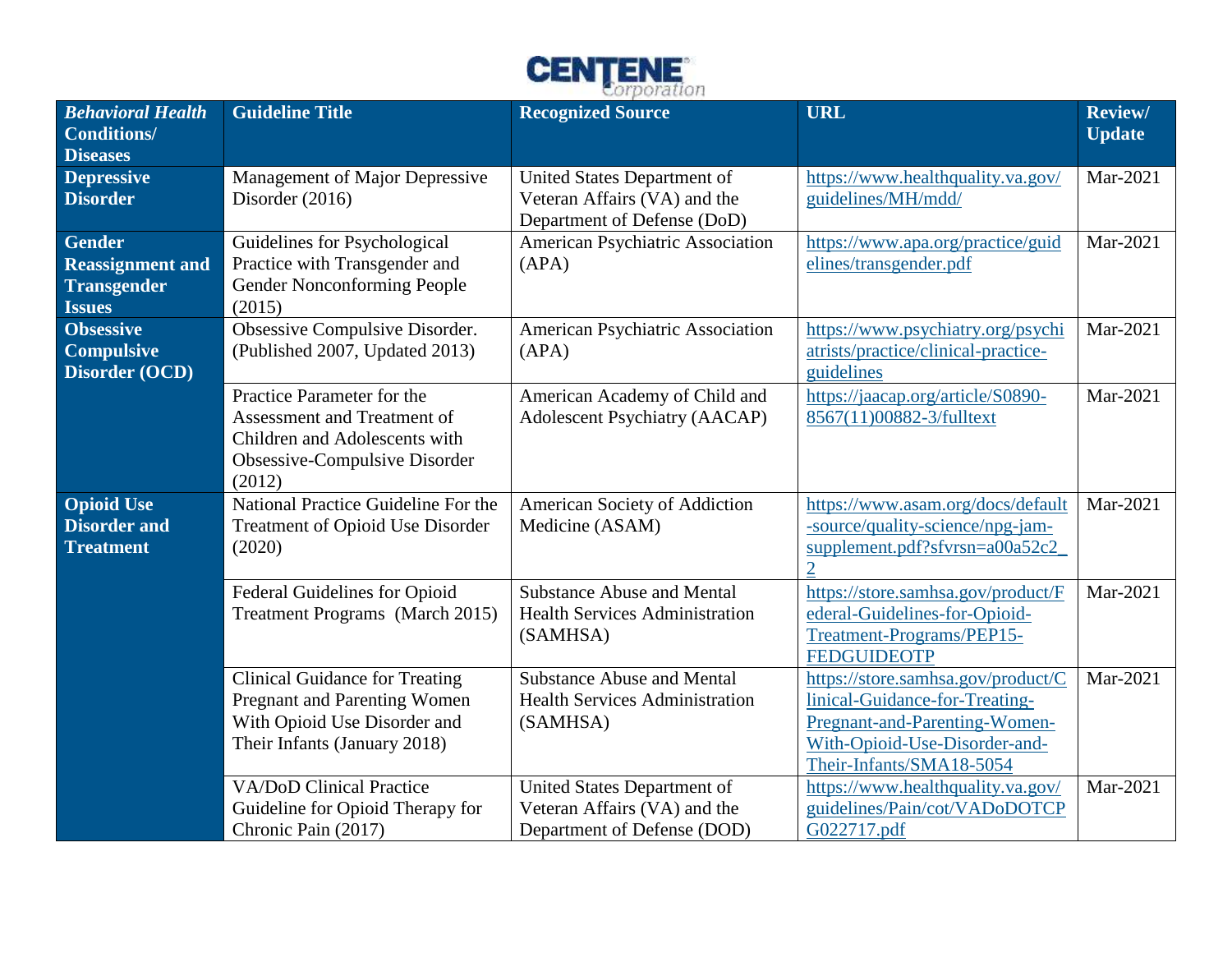

| <b>Behavioral Health</b><br><b>Conditions/</b><br><b>Diseases</b>               | <b>Guideline Title</b>                                                                                                                | <b>Recognized Source</b>                                                                   | <b>URL</b>                                                                                                                                                         | Review/<br><b>Update</b> |
|---------------------------------------------------------------------------------|---------------------------------------------------------------------------------------------------------------------------------------|--------------------------------------------------------------------------------------------|--------------------------------------------------------------------------------------------------------------------------------------------------------------------|--------------------------|
| <b>Depressive</b><br><b>Disorder</b>                                            | Management of Major Depressive<br>Disorder $(2016)$                                                                                   | United States Department of<br>Veteran Affairs (VA) and the<br>Department of Defense (DoD) | https://www.healthquality.va.gov/<br>guidelines/MH/mdd/                                                                                                            | Mar-2021                 |
| <b>Gender</b><br><b>Reassignment and</b><br><b>Transgender</b><br><b>Issues</b> | Guidelines for Psychological<br>Practice with Transgender and<br>Gender Nonconforming People<br>(2015)                                | American Psychiatric Association<br>(APA)                                                  | https://www.apa.org/practice/guid<br>elines/transgender.pdf                                                                                                        | Mar-2021                 |
| <b>Obsessive</b><br><b>Compulsive</b><br>Disorder (OCD)                         | Obsessive Compulsive Disorder.<br>(Published 2007, Updated 2013)                                                                      | American Psychiatric Association<br>(APA)                                                  | https://www.psychiatry.org/psychi<br>atrists/practice/clinical-practice-<br>guidelines                                                                             | Mar-2021                 |
|                                                                                 | Practice Parameter for the<br>Assessment and Treatment of<br>Children and Adolescents with<br>Obsessive-Compulsive Disorder<br>(2012) | American Academy of Child and<br><b>Adolescent Psychiatry (AACAP)</b>                      | https://jaacap.org/article/S0890-<br>8567(11)00882-3/fulltext                                                                                                      | Mar-2021                 |
| <b>Opioid Use</b><br><b>Disorder and</b><br><b>Treatment</b>                    | National Practice Guideline For the<br>Treatment of Opioid Use Disorder<br>(2020)                                                     | American Society of Addiction<br>Medicine (ASAM)                                           | https://www.asam.org/docs/default<br>-source/quality-science/npg-jam-<br>supplement.pdf?sfvrsn=a00a52c2                                                            | Mar-2021                 |
|                                                                                 | Federal Guidelines for Opioid<br>Treatment Programs (March 2015)                                                                      | <b>Substance Abuse and Mental</b><br><b>Health Services Administration</b><br>(SAMHSA)     | https://store.samhsa.gov/product/F<br>ederal-Guidelines-for-Opioid-<br>Treatment-Programs/PEP15-<br><b>FEDGUIDEOTP</b>                                             | Mar-2021                 |
|                                                                                 | <b>Clinical Guidance for Treating</b><br>Pregnant and Parenting Women<br>With Opioid Use Disorder and<br>Their Infants (January 2018) | <b>Substance Abuse and Mental</b><br><b>Health Services Administration</b><br>(SAMHSA)     | https://store.samhsa.gov/product/C<br>linical-Guidance-for-Treating-<br>Pregnant-and-Parenting-Women-<br>With-Opioid-Use-Disorder-and-<br>Their-Infants/SMA18-5054 | Mar-2021                 |
|                                                                                 | <b>VA/DoD Clinical Practice</b><br>Guideline for Opioid Therapy for<br>Chronic Pain (2017)                                            | United States Department of<br>Veteran Affairs (VA) and the<br>Department of Defense (DOD) | https://www.healthquality.va.gov/<br>guidelines/Pain/cot/VADoDOTCP<br>G022717.pdf                                                                                  | Mar-2021                 |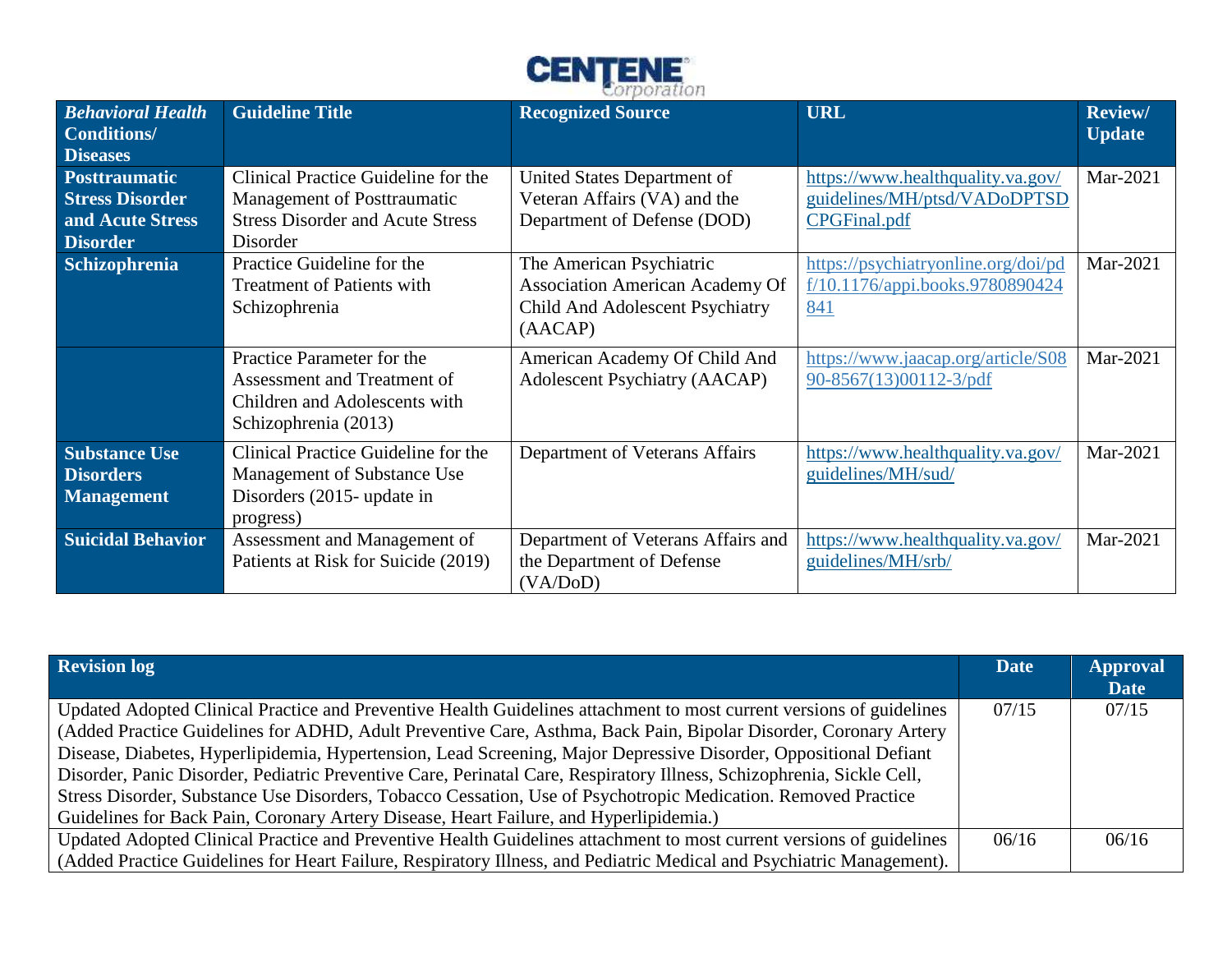

|                                                                                       |                                                                                                                                  | man a Branca de casas es                                                                                         |                                                                                          |                                 |
|---------------------------------------------------------------------------------------|----------------------------------------------------------------------------------------------------------------------------------|------------------------------------------------------------------------------------------------------------------|------------------------------------------------------------------------------------------|---------------------------------|
| <b>Behavioral Health</b><br>Conditions/<br><b>Diseases</b>                            | <b>Guideline Title</b>                                                                                                           | <b>Recognized Source</b>                                                                                         | <b>URL</b>                                                                               | <b>Review/</b><br><b>Update</b> |
| <b>Posttraumatic</b><br><b>Stress Disorder</b><br>and Acute Stress<br><b>Disorder</b> | Clinical Practice Guideline for the<br><b>Management of Posttraumatic</b><br><b>Stress Disorder and Acute Stress</b><br>Disorder | United States Department of<br>Veteran Affairs (VA) and the<br>Department of Defense (DOD)                       | https://www.healthquality.va.gov/<br>guidelines/MH/ptsd/VADoDPTSD<br><b>CPGFinal.pdf</b> | Mar-2021                        |
| <b>Schizophrenia</b>                                                                  | Practice Guideline for the<br><b>Treatment of Patients with</b><br>Schizophrenia                                                 | The American Psychiatric<br><b>Association American Academy Of</b><br>Child And Adolescent Psychiatry<br>(AACAP) | https://psychiatryonline.org/doi/pd<br>$f/10.1176$ /appi.books.9780890424<br>841         | Mar-2021                        |
|                                                                                       | Practice Parameter for the<br>Assessment and Treatment of<br>Children and Adolescents with<br>Schizophrenia (2013)               | American Academy Of Child And<br><b>Adolescent Psychiatry (AACAP)</b>                                            | https://www.jaacap.org/article/S08<br>90-8567(13)00112-3/pdf                             | Mar-2021                        |
| <b>Substance Use</b><br><b>Disorders</b><br><b>Management</b>                         | Clinical Practice Guideline for the<br>Management of Substance Use<br>Disorders (2015- update in<br>progress)                    | Department of Veterans Affairs                                                                                   | https://www.healthquality.va.gov/<br>guidelines/MH/sud/                                  | Mar-2021                        |
| <b>Suicidal Behavior</b>                                                              | Assessment and Management of<br>Patients at Risk for Suicide (2019)                                                              | Department of Veterans Affairs and<br>the Department of Defense<br>(VA/DoD)                                      | https://www.healthquality.va.gov/<br>guidelines/MH/srb/                                  | Mar-2021                        |

| <b>Revision log</b>                                                                                                   | <b>Date</b> | <b>Approval</b><br><b>Date</b> |
|-----------------------------------------------------------------------------------------------------------------------|-------------|--------------------------------|
| Updated Adopted Clinical Practice and Preventive Health Guidelines attachment to most current versions of guidelines  | 07/15       | 07/15                          |
| (Added Practice Guidelines for ADHD, Adult Preventive Care, Asthma, Back Pain, Bipolar Disorder, Coronary Artery      |             |                                |
| Disease, Diabetes, Hyperlipidemia, Hypertension, Lead Screening, Major Depressive Disorder, Oppositional Defiant      |             |                                |
| Disorder, Panic Disorder, Pediatric Preventive Care, Perinatal Care, Respiratory Illness, Schizophrenia, Sickle Cell, |             |                                |
| Stress Disorder, Substance Use Disorders, Tobacco Cessation, Use of Psychotropic Medication. Removed Practice         |             |                                |
| Guidelines for Back Pain, Coronary Artery Disease, Heart Failure, and Hyperlipidemia.)                                |             |                                |
| Updated Adopted Clinical Practice and Preventive Health Guidelines attachment to most current versions of guidelines  | 06/16       | 06/16                          |
| (Added Practice Guidelines for Heart Failure, Respiratory Illness, and Pediatric Medical and Psychiatric Management). |             |                                |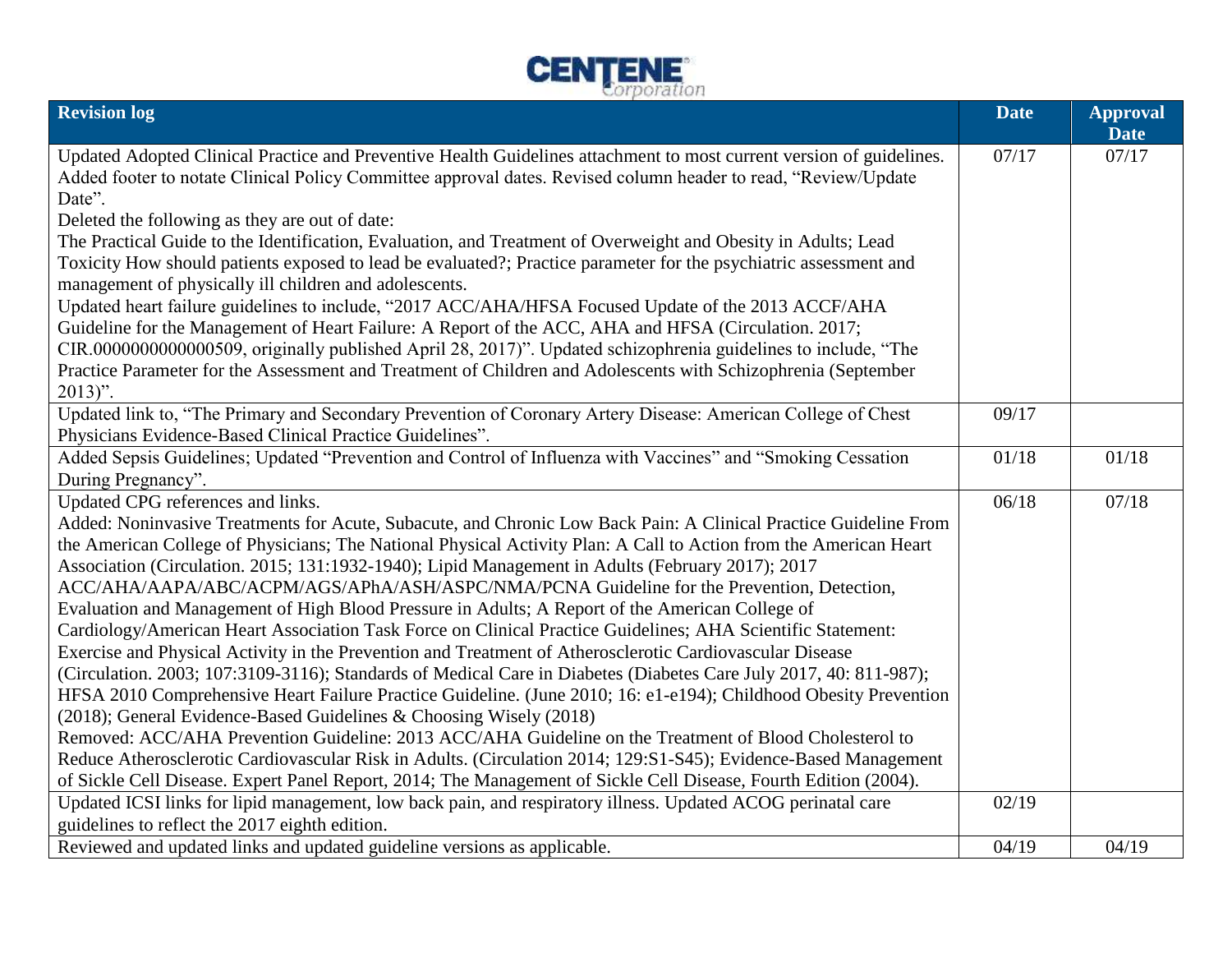

| <b>Revision log</b>                                                                                                                                                                                                                    | <b>Date</b> | <b>Approval</b><br><b>Date</b> |
|----------------------------------------------------------------------------------------------------------------------------------------------------------------------------------------------------------------------------------------|-------------|--------------------------------|
| Updated Adopted Clinical Practice and Preventive Health Guidelines attachment to most current version of guidelines.<br>Added footer to notate Clinical Policy Committee approval dates. Revised column header to read, "Review/Update | 07/17       | 07/17                          |
| Date".                                                                                                                                                                                                                                 |             |                                |
| Deleted the following as they are out of date:<br>The Practical Guide to the Identification, Evaluation, and Treatment of Overweight and Obesity in Adults; Lead                                                                       |             |                                |
| Toxicity How should patients exposed to lead be evaluated?; Practice parameter for the psychiatric assessment and<br>management of physically ill children and adolescents.                                                            |             |                                |
| Updated heart failure guidelines to include, "2017 ACC/AHA/HFSA Focused Update of the 2013 ACCF/AHA                                                                                                                                    |             |                                |
| Guideline for the Management of Heart Failure: A Report of the ACC, AHA and HFSA (Circulation. 2017;                                                                                                                                   |             |                                |
| CIR.0000000000000509, originally published April 28, 2017)". Updated schizophrenia guidelines to include, "The                                                                                                                         |             |                                |
| Practice Parameter for the Assessment and Treatment of Children and Adolescents with Schizophrenia (September<br>$2013$ ".                                                                                                             |             |                                |
| Updated link to, "The Primary and Secondary Prevention of Coronary Artery Disease: American College of Chest                                                                                                                           | 09/17       |                                |
| Physicians Evidence-Based Clinical Practice Guidelines".                                                                                                                                                                               |             |                                |
| Added Sepsis Guidelines; Updated "Prevention and Control of Influenza with Vaccines" and "Smoking Cessation                                                                                                                            | 01/18       | 01/18                          |
| During Pregnancy".                                                                                                                                                                                                                     |             |                                |
| Updated CPG references and links.                                                                                                                                                                                                      | 06/18       | 07/18                          |
| Added: Noninvasive Treatments for Acute, Subacute, and Chronic Low Back Pain: A Clinical Practice Guideline From                                                                                                                       |             |                                |
| the American College of Physicians; The National Physical Activity Plan: A Call to Action from the American Heart<br>Association (Circulation. 2015; 131:1932-1940); Lipid Management in Adults (February 2017); 2017                  |             |                                |
| ACC/AHA/AAPA/ABC/ACPM/AGS/APhA/ASH/ASPC/NMA/PCNA Guideline for the Prevention, Detection,                                                                                                                                              |             |                                |
| Evaluation and Management of High Blood Pressure in Adults; A Report of the American College of                                                                                                                                        |             |                                |
| Cardiology/American Heart Association Task Force on Clinical Practice Guidelines; AHA Scientific Statement:                                                                                                                            |             |                                |
| Exercise and Physical Activity in the Prevention and Treatment of Atherosclerotic Cardiovascular Disease                                                                                                                               |             |                                |
| (Circulation. 2003; 107:3109-3116); Standards of Medical Care in Diabetes (Diabetes Care July 2017, 40: 811-987);                                                                                                                      |             |                                |
| HFSA 2010 Comprehensive Heart Failure Practice Guideline. (June 2010; 16: e1-e194); Childhood Obesity Prevention                                                                                                                       |             |                                |
| (2018); General Evidence-Based Guidelines & Choosing Wisely (2018)                                                                                                                                                                     |             |                                |
| Removed: ACC/AHA Prevention Guideline: 2013 ACC/AHA Guideline on the Treatment of Blood Cholesterol to                                                                                                                                 |             |                                |
| Reduce Atherosclerotic Cardiovascular Risk in Adults. (Circulation 2014; 129:S1-S45); Evidence-Based Management                                                                                                                        |             |                                |
| of Sickle Cell Disease. Expert Panel Report, 2014; The Management of Sickle Cell Disease, Fourth Edition (2004).                                                                                                                       |             |                                |
| Updated ICSI links for lipid management, low back pain, and respiratory illness. Updated ACOG perinatal care                                                                                                                           | 02/19       |                                |
| guidelines to reflect the 2017 eighth edition.                                                                                                                                                                                         |             |                                |
| Reviewed and updated links and updated guideline versions as applicable.                                                                                                                                                               | 04/19       | 04/19                          |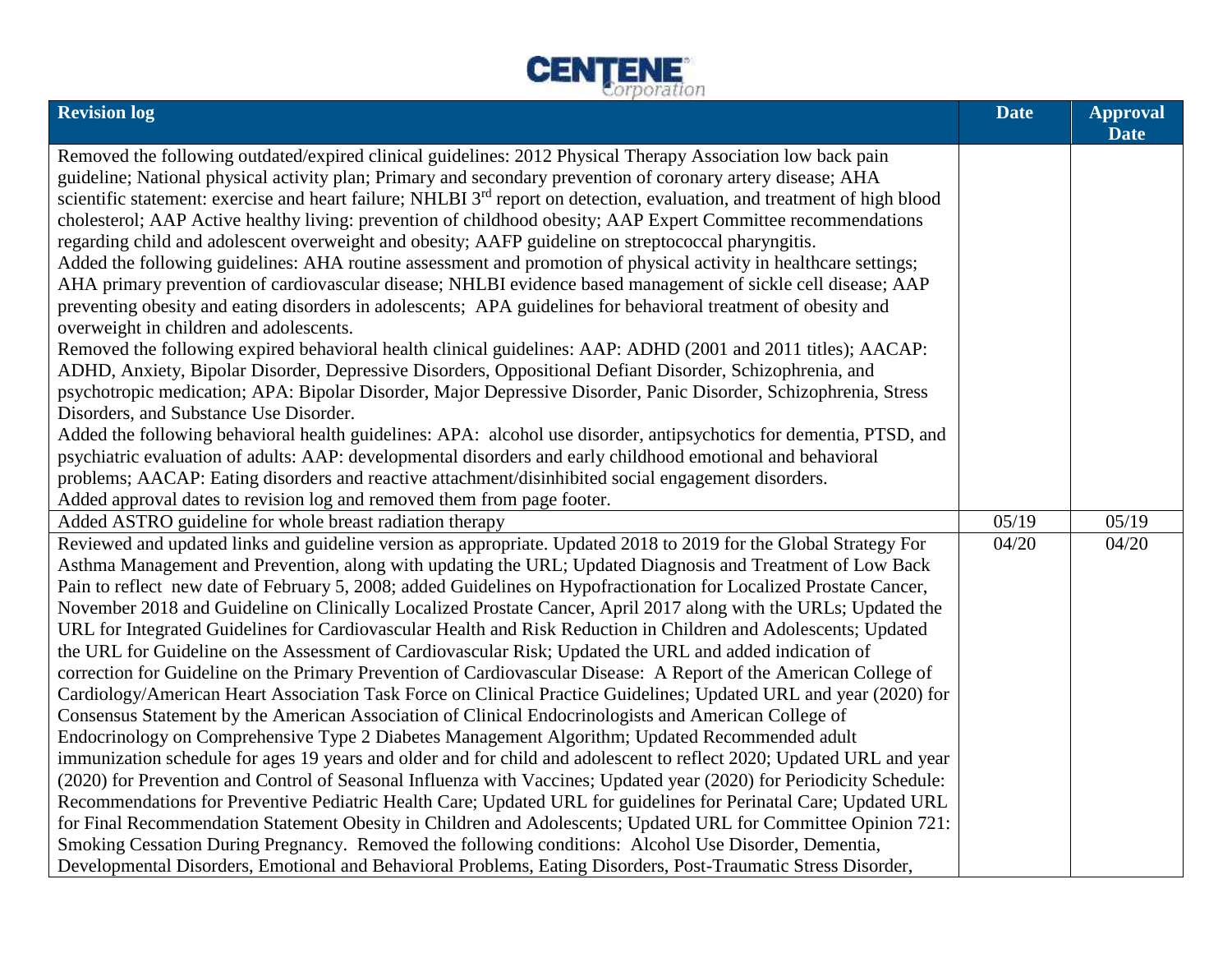

| <b>Date</b>                                                                                                                                                                                                               | <b>Approval</b> |
|---------------------------------------------------------------------------------------------------------------------------------------------------------------------------------------------------------------------------|-----------------|
| Removed the following outdated/expired clinical guidelines: 2012 Physical Therapy Association low back pain                                                                                                               |                 |
| guideline; National physical activity plan; Primary and secondary prevention of coronary artery disease; AHA                                                                                                              |                 |
| scientific statement: exercise and heart failure; NHLBI 3 <sup>rd</sup> report on detection, evaluation, and treatment of high blood                                                                                      |                 |
| cholesterol; AAP Active healthy living: prevention of childhood obesity; AAP Expert Committee recommendations                                                                                                             |                 |
| regarding child and adolescent overweight and obesity; AAFP guideline on streptococcal pharyngitis.                                                                                                                       |                 |
| Added the following guidelines: AHA routine assessment and promotion of physical activity in healthcare settings;                                                                                                         |                 |
| AHA primary prevention of cardiovascular disease; NHLBI evidence based management of sickle cell disease; AAP                                                                                                             |                 |
| preventing obesity and eating disorders in adolescents; APA guidelines for behavioral treatment of obesity and                                                                                                            |                 |
| overweight in children and adolescents.                                                                                                                                                                                   |                 |
| Removed the following expired behavioral health clinical guidelines: AAP: ADHD (2001 and 2011 titles); AACAP:<br>ADHD, Anxiety, Bipolar Disorder, Depressive Disorders, Oppositional Defiant Disorder, Schizophrenia, and |                 |
| psychotropic medication; APA: Bipolar Disorder, Major Depressive Disorder, Panic Disorder, Schizophrenia, Stress                                                                                                          |                 |
| Disorders, and Substance Use Disorder.                                                                                                                                                                                    |                 |
| Added the following behavioral health guidelines: APA: alcohol use disorder, antipsychotics for dementia, PTSD, and                                                                                                       |                 |
| psychiatric evaluation of adults: AAP: developmental disorders and early childhood emotional and behavioral                                                                                                               |                 |
| problems; AACAP: Eating disorders and reactive attachment/disinhibited social engagement disorders.                                                                                                                       |                 |
| Added approval dates to revision log and removed them from page footer.                                                                                                                                                   |                 |
| Added ASTRO guideline for whole breast radiation therapy<br>05/19<br>05/19                                                                                                                                                |                 |
| Reviewed and updated links and guideline version as appropriate. Updated 2018 to 2019 for the Global Strategy For<br>04/20<br>04/20                                                                                       |                 |
| Asthma Management and Prevention, along with updating the URL; Updated Diagnosis and Treatment of Low Back                                                                                                                |                 |
| Pain to reflect new date of February 5, 2008; added Guidelines on Hypofractionation for Localized Prostate Cancer,                                                                                                        |                 |
| November 2018 and Guideline on Clinically Localized Prostate Cancer, April 2017 along with the URLs; Updated the                                                                                                          |                 |
| URL for Integrated Guidelines for Cardiovascular Health and Risk Reduction in Children and Adolescents; Updated                                                                                                           |                 |
| the URL for Guideline on the Assessment of Cardiovascular Risk; Updated the URL and added indication of                                                                                                                   |                 |
| correction for Guideline on the Primary Prevention of Cardiovascular Disease: A Report of the American College of                                                                                                         |                 |
| Cardiology/American Heart Association Task Force on Clinical Practice Guidelines; Updated URL and year (2020) for                                                                                                         |                 |
| Consensus Statement by the American Association of Clinical Endocrinologists and American College of                                                                                                                      |                 |
| Endocrinology on Comprehensive Type 2 Diabetes Management Algorithm; Updated Recommended adult                                                                                                                            |                 |
| immunization schedule for ages 19 years and older and for child and adolescent to reflect 2020; Updated URL and year                                                                                                      |                 |
| (2020) for Prevention and Control of Seasonal Influenza with Vaccines; Updated year (2020) for Periodicity Schedule:                                                                                                      |                 |
| Recommendations for Preventive Pediatric Health Care; Updated URL for guidelines for Perinatal Care; Updated URL                                                                                                          |                 |
| for Final Recommendation Statement Obesity in Children and Adolescents; Updated URL for Committee Opinion 721:<br>Smoking Cessation During Pregnancy. Removed the following conditions: Alcohol Use Disorder, Dementia,   |                 |
| Developmental Disorders, Emotional and Behavioral Problems, Eating Disorders, Post-Traumatic Stress Disorder,                                                                                                             |                 |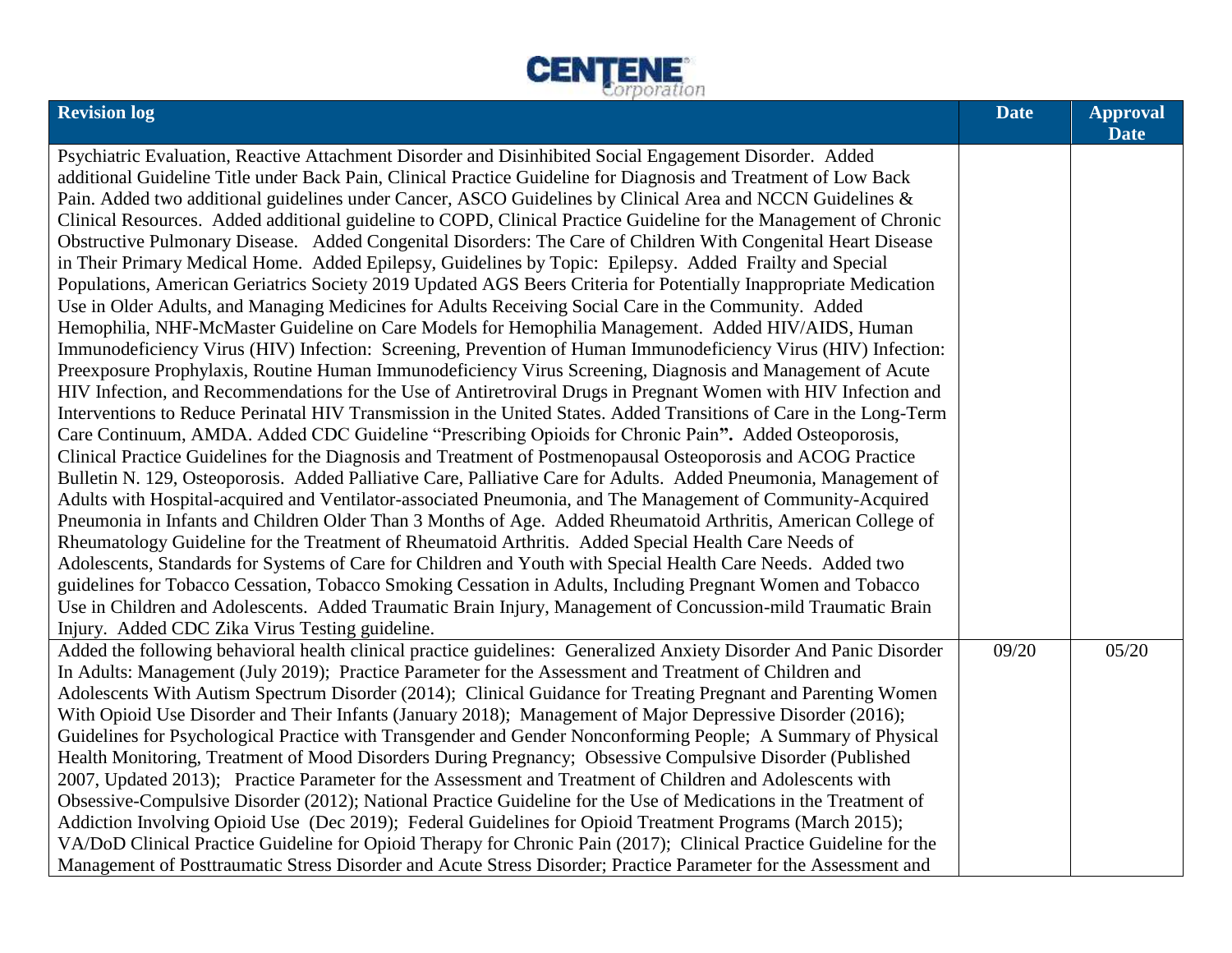

| <b>Revision log</b>                                                                                                 | <b>Date</b> | <b>Approval</b><br><b>Date</b> |
|---------------------------------------------------------------------------------------------------------------------|-------------|--------------------------------|
| Psychiatric Evaluation, Reactive Attachment Disorder and Disinhibited Social Engagement Disorder. Added             |             |                                |
| additional Guideline Title under Back Pain, Clinical Practice Guideline for Diagnosis and Treatment of Low Back     |             |                                |
| Pain. Added two additional guidelines under Cancer, ASCO Guidelines by Clinical Area and NCCN Guidelines &          |             |                                |
| Clinical Resources. Added additional guideline to COPD, Clinical Practice Guideline for the Management of Chronic   |             |                                |
| Obstructive Pulmonary Disease. Added Congenital Disorders: The Care of Children With Congenital Heart Disease       |             |                                |
| in Their Primary Medical Home. Added Epilepsy, Guidelines by Topic: Epilepsy. Added Frailty and Special             |             |                                |
| Populations, American Geriatrics Society 2019 Updated AGS Beers Criteria for Potentially Inappropriate Medication   |             |                                |
| Use in Older Adults, and Managing Medicines for Adults Receiving Social Care in the Community. Added                |             |                                |
| Hemophilia, NHF-McMaster Guideline on Care Models for Hemophilia Management. Added HIV/AIDS, Human                  |             |                                |
| Immunodeficiency Virus (HIV) Infection: Screening, Prevention of Human Immunodeficiency Virus (HIV) Infection:      |             |                                |
| Preexposure Prophylaxis, Routine Human Immunodeficiency Virus Screening, Diagnosis and Management of Acute          |             |                                |
| HIV Infection, and Recommendations for the Use of Antiretroviral Drugs in Pregnant Women with HIV Infection and     |             |                                |
| Interventions to Reduce Perinatal HIV Transmission in the United States. Added Transitions of Care in the Long-Term |             |                                |
| Care Continuum, AMDA. Added CDC Guideline "Prescribing Opioids for Chronic Pain". Added Osteoporosis,               |             |                                |
| Clinical Practice Guidelines for the Diagnosis and Treatment of Postmenopausal Osteoporosis and ACOG Practice       |             |                                |
| Bulletin N. 129, Osteoporosis. Added Palliative Care, Palliative Care for Adults. Added Pneumonia, Management of    |             |                                |
| Adults with Hospital-acquired and Ventilator-associated Pneumonia, and The Management of Community-Acquired         |             |                                |
| Pneumonia in Infants and Children Older Than 3 Months of Age. Added Rheumatoid Arthritis, American College of       |             |                                |
| Rheumatology Guideline for the Treatment of Rheumatoid Arthritis. Added Special Health Care Needs of                |             |                                |
| Adolescents, Standards for Systems of Care for Children and Youth with Special Health Care Needs. Added two         |             |                                |
| guidelines for Tobacco Cessation, Tobacco Smoking Cessation in Adults, Including Pregnant Women and Tobacco         |             |                                |
| Use in Children and Adolescents. Added Traumatic Brain Injury, Management of Concussion-mild Traumatic Brain        |             |                                |
| Injury. Added CDC Zika Virus Testing guideline.                                                                     |             |                                |
| Added the following behavioral health clinical practice guidelines: Generalized Anxiety Disorder And Panic Disorder | 09/20       | 05/20                          |
| In Adults: Management (July 2019); Practice Parameter for the Assessment and Treatment of Children and              |             |                                |
| Adolescents With Autism Spectrum Disorder (2014); Clinical Guidance for Treating Pregnant and Parenting Women       |             |                                |
| With Opioid Use Disorder and Their Infants (January 2018); Management of Major Depressive Disorder (2016);          |             |                                |
| Guidelines for Psychological Practice with Transgender and Gender Nonconforming People; A Summary of Physical       |             |                                |
| Health Monitoring, Treatment of Mood Disorders During Pregnancy; Obsessive Compulsive Disorder (Published           |             |                                |
| 2007, Updated 2013); Practice Parameter for the Assessment and Treatment of Children and Adolescents with           |             |                                |
| Obsessive-Compulsive Disorder (2012); National Practice Guideline for the Use of Medications in the Treatment of    |             |                                |
| Addiction Involving Opioid Use (Dec 2019); Federal Guidelines for Opioid Treatment Programs (March 2015);           |             |                                |
| VA/DoD Clinical Practice Guideline for Opioid Therapy for Chronic Pain (2017); Clinical Practice Guideline for the  |             |                                |
| Management of Posttraumatic Stress Disorder and Acute Stress Disorder; Practice Parameter for the Assessment and    |             |                                |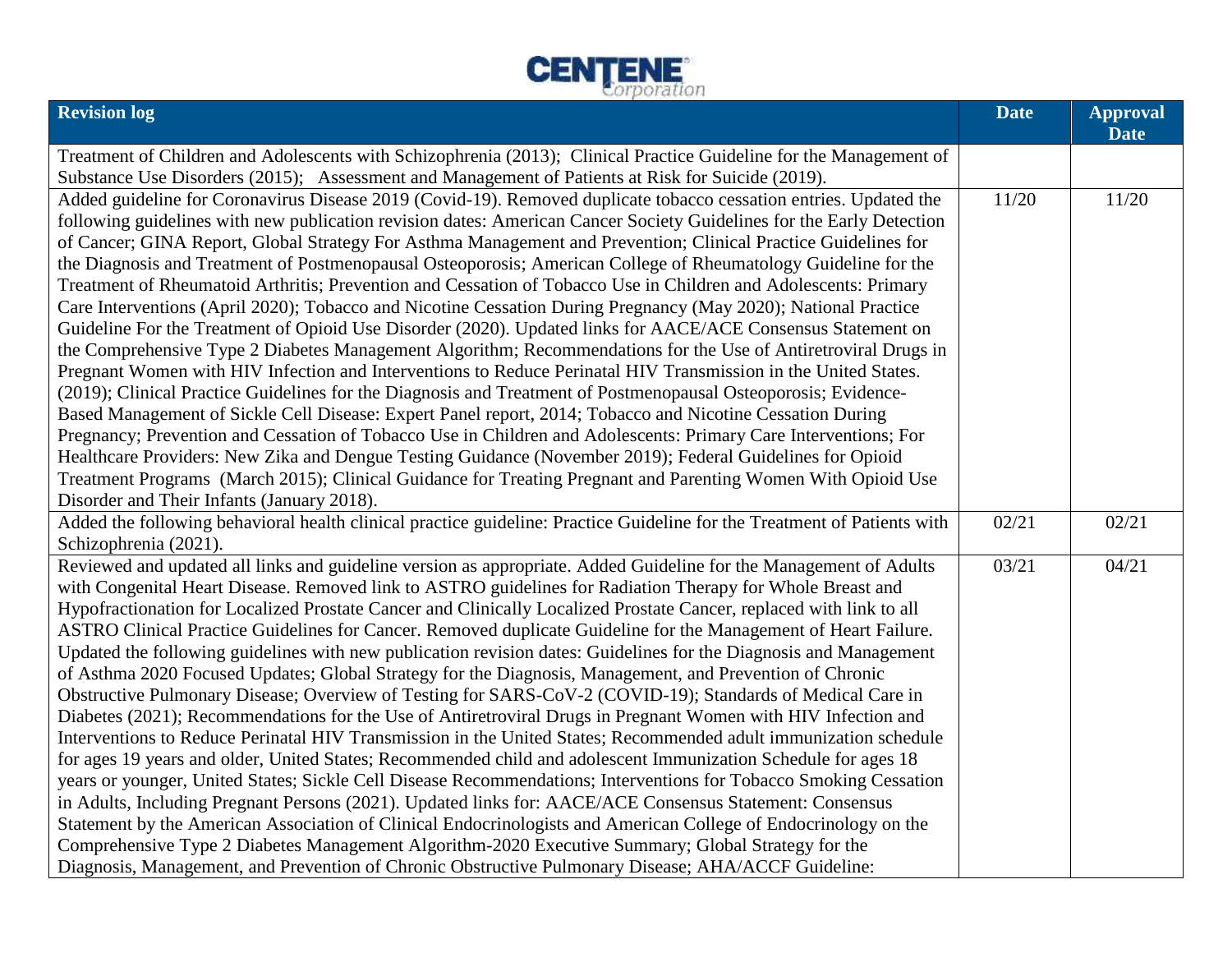

| <b>Revision log</b>                                                                                                                                                                                                                 | <b>Date</b> | <b>Approval</b><br><b>Date</b> |
|-------------------------------------------------------------------------------------------------------------------------------------------------------------------------------------------------------------------------------------|-------------|--------------------------------|
| Treatment of Children and Adolescents with Schizophrenia (2013); Clinical Practice Guideline for the Management of                                                                                                                  |             |                                |
| Substance Use Disorders (2015); Assessment and Management of Patients at Risk for Suicide (2019).                                                                                                                                   |             |                                |
| Added guideline for Coronavirus Disease 2019 (Covid-19). Removed duplicate tobacco cessation entries. Updated the                                                                                                                   | 11/20       | 11/20                          |
| following guidelines with new publication revision dates: American Cancer Society Guidelines for the Early Detection                                                                                                                |             |                                |
| of Cancer; GINA Report, Global Strategy For Asthma Management and Prevention; Clinical Practice Guidelines for                                                                                                                      |             |                                |
| the Diagnosis and Treatment of Postmenopausal Osteoporosis; American College of Rheumatology Guideline for the                                                                                                                      |             |                                |
| Treatment of Rheumatoid Arthritis; Prevention and Cessation of Tobacco Use in Children and Adolescents: Primary                                                                                                                     |             |                                |
| Care Interventions (April 2020); Tobacco and Nicotine Cessation During Pregnancy (May 2020); National Practice                                                                                                                      |             |                                |
| Guideline For the Treatment of Opioid Use Disorder (2020). Updated links for AACE/ACE Consensus Statement on                                                                                                                        |             |                                |
| the Comprehensive Type 2 Diabetes Management Algorithm; Recommendations for the Use of Antiretroviral Drugs in                                                                                                                      |             |                                |
| Pregnant Women with HIV Infection and Interventions to Reduce Perinatal HIV Transmission in the United States.                                                                                                                      |             |                                |
| (2019); Clinical Practice Guidelines for the Diagnosis and Treatment of Postmenopausal Osteoporosis; Evidence-                                                                                                                      |             |                                |
| Based Management of Sickle Cell Disease: Expert Panel report, 2014; Tobacco and Nicotine Cessation During                                                                                                                           |             |                                |
| Pregnancy; Prevention and Cessation of Tobacco Use in Children and Adolescents: Primary Care Interventions; For                                                                                                                     |             |                                |
| Healthcare Providers: New Zika and Dengue Testing Guidance (November 2019); Federal Guidelines for Opioid                                                                                                                           |             |                                |
| Treatment Programs (March 2015); Clinical Guidance for Treating Pregnant and Parenting Women With Opioid Use                                                                                                                        |             |                                |
| Disorder and Their Infants (January 2018).                                                                                                                                                                                          |             |                                |
| Added the following behavioral health clinical practice guideline: Practice Guideline for the Treatment of Patients with                                                                                                            | 02/21       | 02/21                          |
| Schizophrenia (2021).                                                                                                                                                                                                               |             |                                |
| Reviewed and updated all links and guideline version as appropriate. Added Guideline for the Management of Adults                                                                                                                   | 03/21       | 04/21                          |
| with Congenital Heart Disease. Removed link to ASTRO guidelines for Radiation Therapy for Whole Breast and                                                                                                                          |             |                                |
| Hypofractionation for Localized Prostate Cancer and Clinically Localized Prostate Cancer, replaced with link to all                                                                                                                 |             |                                |
| ASTRO Clinical Practice Guidelines for Cancer. Removed duplicate Guideline for the Management of Heart Failure.                                                                                                                     |             |                                |
| Updated the following guidelines with new publication revision dates: Guidelines for the Diagnosis and Management                                                                                                                   |             |                                |
| of Asthma 2020 Focused Updates; Global Strategy for the Diagnosis, Management, and Prevention of Chronic                                                                                                                            |             |                                |
| Obstructive Pulmonary Disease; Overview of Testing for SARS-CoV-2 (COVID-19); Standards of Medical Care in                                                                                                                          |             |                                |
| Diabetes (2021); Recommendations for the Use of Antiretroviral Drugs in Pregnant Women with HIV Infection and                                                                                                                       |             |                                |
| Interventions to Reduce Perinatal HIV Transmission in the United States; Recommended adult immunization schedule                                                                                                                    |             |                                |
| for ages 19 years and older, United States; Recommended child and adolescent Immunization Schedule for ages 18<br>years or younger, United States; Sickle Cell Disease Recommendations; Interventions for Tobacco Smoking Cessation |             |                                |
| in Adults, Including Pregnant Persons (2021). Updated links for: AACE/ACE Consensus Statement: Consensus                                                                                                                            |             |                                |
| Statement by the American Association of Clinical Endocrinologists and American College of Endocrinology on the                                                                                                                     |             |                                |
| Comprehensive Type 2 Diabetes Management Algorithm-2020 Executive Summary; Global Strategy for the                                                                                                                                  |             |                                |
| Diagnosis, Management, and Prevention of Chronic Obstructive Pulmonary Disease; AHA/ACCF Guideline:                                                                                                                                 |             |                                |